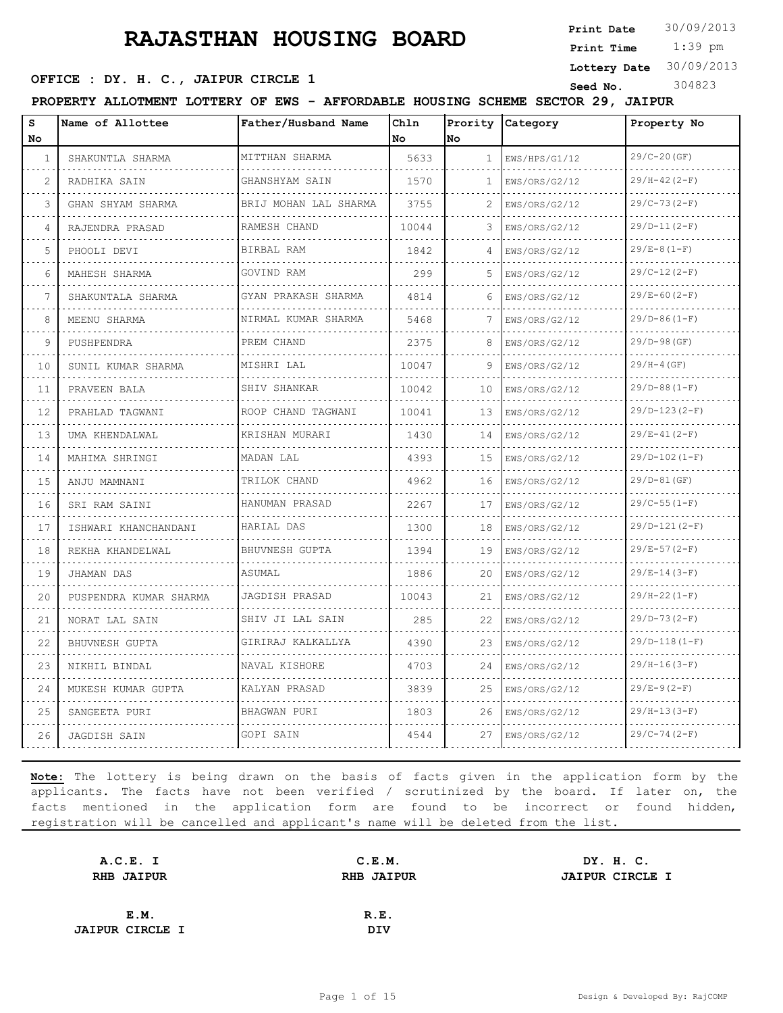**Print Date**  $30/09/2013$ 

 1:39 pm **Print Time**

**Lottery Date** 30/09/2013

#### **SEED OFFICE : DY. H. C., JAIPUR CIRCLE 1** Seed No. 304823

**PROPERTY ALLOTMENT LOTTERY OF EWS - AFFORDABLE HOUSING SCHEME SECTOR 29, JAIPUR**

| S<br>No. | Name of Allottee       | Father/Husband Name                                     | Chln<br>No | No           | Prority Category   | Property No     |
|----------|------------------------|---------------------------------------------------------|------------|--------------|--------------------|-----------------|
| 1        | SHAKUNTLA SHARMA       | MITTHAN SHARMA                                          | 5633       | $\mathbf{1}$ | EWS/HPS/G1/12      | $29/C-20(GF)$   |
| 2        | RADHIKA SAIN           | GHANSHYAM SAIN                                          | 1570       | 1            | .<br>EWS/ORS/G2/12 | $29/H-42 (2-F)$ |
| 3        | GHAN SHYAM SHARMA      | BRIJ MOHAN LAL SHARMA                                   | 3755       | 2            | EWS/ORS/G2/12      | $29/C-73(2-F)$  |
| 4        | RAJENDRA PRASAD        | RAMESH CHAND                                            | 10044      | 3            | EWS/ORS/G2/12      | $29/D-11(2-F)$  |
| 5        | PHOOLI DEVI            | .<br>BIRBAL RAM                                         | 1842       | 4            | .<br>EWS/ORS/G2/12 | $29/E-8(1-F)$   |
| 6        | MAHESH SHARMA          | GOVIND RAM                                              | 299        | 5            | EWS/ORS/G2/12      | $29/C-12(2-F)$  |
| 7        | SHAKUNTALA SHARMA      | GYAN PRAKASH SHARMA<br><u> 1999 - La Salada Sala</u> da | 4814       | 6            | EWS/ORS/G2/12      | $29/E-60(2-F)$  |
| 8        | MEENU SHARMA           | NIRMAL KUMAR SHARMA                                     | 5468       |              | EWS/ORS/G2/12      | $29/D-86 (1-F)$ |
| 9        | PUSHPENDRA             | PREM CHAND                                              | 2375       | 8            | EWS/ORS/G2/12      | $29/D-98$ (GF)  |
| 10       | SUNIL KUMAR SHARMA     | MISHRI LAL                                              | 10047      | 9            | EWS/ORS/G2/12      | $29/H-4(GF)$    |
| 11       | PRAVEEN BALA           | SHIV SHANKAR                                            | 10042      | 10           | .<br>EWS/ORS/G2/12 | $29/D-88 (1-F)$ |
| 12       | PRAHLAD TAGWANI        | ROOP CHAND TAGWANI                                      | 10041      | 13           | EWS/ORS/G2/12      | $29/D-123(2-F)$ |
| 13       | UMA KHENDALWAL         | KRISHAN MURARI                                          | 1430       | 14           | EWS/ORS/G2/12      | $29/E-41(2-F)$  |
| 14       | MAHIMA SHRINGI         | MADAN LAL                                               | 4393       | 15           | EWS/ORS/G2/12      | $29/D-102(I-F)$ |
| 15       | ANJU MAMNANI           | TRILOK CHAND                                            | 4962       | 16           | EWS/ORS/G2/12      | $29/D-81(GF)$   |
| 16       | SRI RAM SAINI          | HANUMAN PRASAD                                          | 2267       | 17           | EWS/ORS/G2/12      | $29/C-55(1-F)$  |
| 17       | ISHWARI KHANCHANDANI   | HARIAL DAS                                              | 1300       | 18           | EWS/ORS/G2/12      | $29/D-121(2-F)$ |
| 18       | REKHA KHANDELWAL       | BHUVNESH GUPTA                                          | 1394       | 19           | EWS/ORS/G2/12      | $29/E-57(2-F)$  |
| 19       | JHAMAN DAS             | ASUMAL                                                  | 1886       | 20           | EWS/ORS/G2/12      | $29/E-14(3-F)$  |
| 20       | PUSPENDRA KUMAR SHARMA | JAGDISH PRASAD<br>.                                     | 10043      | 21           | EWS/ORS/G2/12      | $29/H-22(I-F)$  |
| 21       | NORAT LAL SAIN         | SHIV JI LAL SAIN                                        | 285        | 22           | EWS/ORS/G2/12      | $29/D-73(2-F)$  |
| 22       | BHUVNESH GUPTA         | GIRIRAJ KALKALLYA<br><u>.</u>                           | 4390       | 23           | EWS/ORS/G2/12      | $29/D-118(1-F)$ |
| 23       | NIKHIL BINDAL          | NAVAL KISHORE                                           | 4703       | 24           | EWS/ORS/G2/12      | $29/H-16(3-F)$  |
| 24       | MUKESH KUMAR GUPTA     | KALYAN PRASAD                                           | 3839       | 25           | EWS/ORS/G2/12      | $29/E-9(2-F)$   |
| 25       | SANGEETA PURI          | BHAGWAN PURI                                            | 1803       | 26           | EWS/ORS/G2/12      | $29/H-13(3-F)$  |
| 26       | JAGDISH SAIN           | GOPI SAIN                                               | 4544       | 27           | EWS/ORS/G2/12      | $29/C-74(2-F)$  |

| A.C.E. I               | C.E.M.            | DY. H. C.              |
|------------------------|-------------------|------------------------|
| <b>RHB JAIPUR</b>      | <b>RHB JAIPUR</b> | <b>JAIPUR CIRCLE I</b> |
|                        |                   |                        |
| E.M.                   | R.E.              |                        |
| <b>JAIPUR CIRCLE I</b> | <b>DIV</b>        |                        |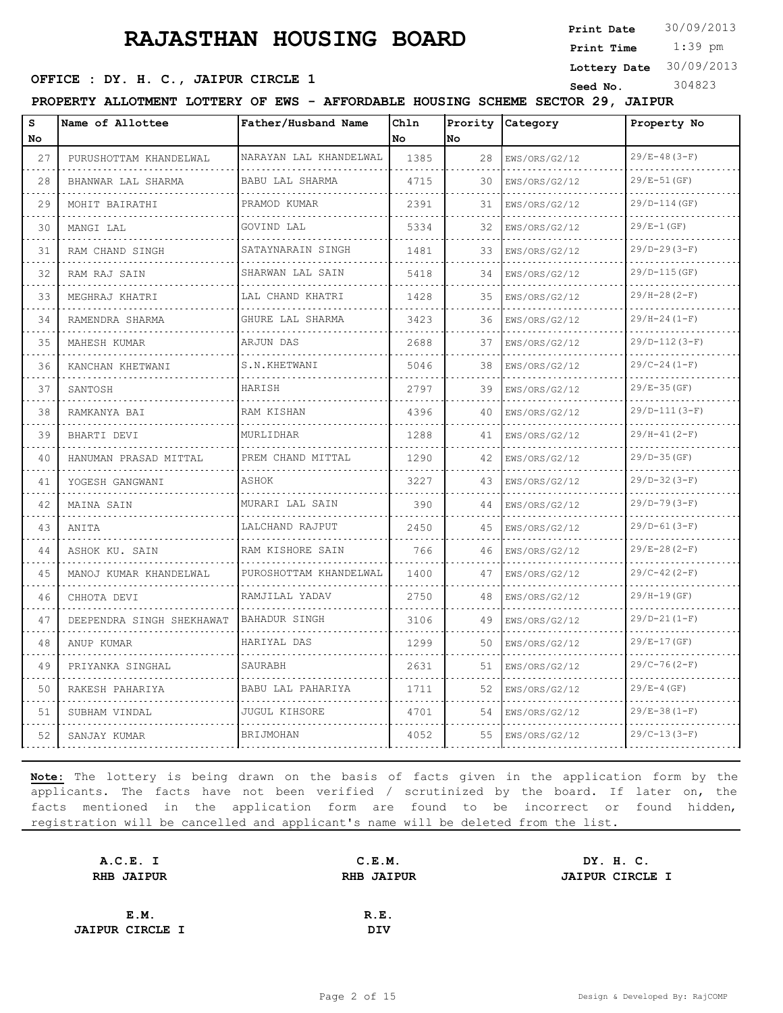**Print Date**  $30/09/2013$ 

 1:39 pm **Print Time**

# **SEED OFFICE : DY. H. C., JAIPUR CIRCLE 1** Seed No. 304823

**Lottery Date** 30/09/2013

**PROPERTY ALLOTMENT LOTTERY OF EWS - AFFORDABLE HOUSING SCHEME SECTOR 29, JAIPUR**

| S<br>No. | Name of Allottee          | Father/Husband Name          | Chln<br>No | No. | Prority Category   | Property No               |
|----------|---------------------------|------------------------------|------------|-----|--------------------|---------------------------|
| 27       | PURUSHOTTAM KHANDELWAL    | NARAYAN LAL KHANDELWAL       | 1385       | 28  | EWS/ORS/G2/12      | $29/E-48(3-F)$            |
| .<br>28  | BHANWAR LAL SHARMA        | BABU LAL SHARMA              | 4715       | 30  | .<br>EWS/ORS/G2/12 | <u>.</u><br>$29/E-51(GF)$ |
| 29       | MOHIT BAIRATHI            | PRAMOD KUMAR                 | 2391       | 31  | EWS/ORS/G2/12      | $29/D-114(GF)$            |
| 30       | MANGI LAL                 | GOVIND LAL                   | 5334       | 32  | EWS/ORS/G2/12      | $29/E-1(GF)$              |
| 31       | .<br>RAM CHAND SINGH      | .<br>SATAYNARAIN SINGH       | 1481       | 33  | .<br>EWS/ORS/G2/12 | $29/D-29(3-F)$            |
| 32       | RAM RAJ SAIN              | SHARWAN LAL SAIN             | 5418       | 34  | EWS/ORS/G2/12      | $29/D-115(GF)$            |
| 33       | MEGHRAJ KHATRI            | <u>.</u><br>LAL CHAND KHATRI | 1428       | 35  | EWS/ORS/G2/12      | $29/H - 28 (2 - F)$       |
| 34       | RAMENDRA SHARMA           | GHURE LAL SHARMA             | 3423       | 36  | EWS/ORS/G2/12      | $29/H - 24 (1 - F)$       |
| 35       | MAHESH KUMAR              | ARJUN DAS                    | 2688       | 37  | EWS/ORS/G2/12      | $29/D-112(3-F)$           |
| 36       | KANCHAN KHETWANI          | S.N.KHETWANI                 | 5046       | 38  | EWS/ORS/G2/12      | $29/C-24(1-F)$            |
| 37       | SANTOSH                   | HARISH                       | 2797       | 39  | EWS/ORS/G2/12      | $29/E - 35(GF)$           |
| 38       | RAMKANYA BAI              | <b>RAM KISHAN</b>            | 4396       | 40  | .<br>EWS/ORS/G2/12 | $29/D-111(3-F)$           |
| 39       | BHARTI DEVI               | MURLIDHAR                    | 1288       | 41  | EWS/ORS/G2/12      | $29/H-41(2-F)$            |
| 40       | HANUMAN PRASAD MITTAL     | PREM CHAND MITTAL            | 1290       | 42  | EWS/ORS/G2/12      | $29/D-35(GF)$             |
| 41       | YOGESH GANGWANI           | ASHOK                        | 3227       | 43  | EWS/ORS/G2/12      | $29/D-32(3-F)$            |
| 42       | MAINA SAIN                | MURARI LAL SAIN              | 390        | 44  | EWS/ORS/G2/12      | $29/D-79(3-F)$            |
| 43       | ANITA                     | LALCHAND RAJPUT              | 2450       | 45  | EWS/ORS/G2/12      | $29/D-61(3-F)$            |
| 44       | ASHOK KU. SAIN            | RAM KISHORE SAIN             | 766        | 46  | EWS/ORS/G2/12      | $29/E-28(2-F)$            |
| 45       | MANOJ KUMAR KHANDELWAL    | .<br>PUROSHOTTAM KHANDELWAL  | 1400       | 47  | EWS/ORS/G2/12      | $29/C-42(2-F)$            |
| 46       | CHHOTA DEVI               | RAMJILAL YADAV               | 2750       | 48  | EWS/ORS/G2/12      | $29/H-19(GF)$             |
| 47       | DEEPENDRA SINGH SHEKHAWAT | <b>BAHADUR SINGH</b>         | 3106       | 49  | EWS/ORS/G2/12      | $29/D-21(1-F)$            |
| 48       | ANUP KUMAR                | HARIYAL DAS                  | 1299       | 50  | EWS/ORS/G2/12      | $29/E-17(GF)$             |
| 49       | PRIYANKA SINGHAL          | SAURABH                      | 2631       | 51  | EWS/ORS/G2/12      | $29/C-76(2-F)$            |
| 50       | RAKESH PAHARIYA           | BABU LAL PAHARIYA            | 1711       | 52  | EWS/ORS/G2/12      | $29/E-4(GF)$              |
| 51       | SUBHAM VINDAL             | <b>JUGUL KIHSORE</b>         | 4701       | 54  | EWS/ORS/G2/12      | $29/E-38(1-F)$            |
| 52       | SANJAY KUMAR              | BRIJMOHAN                    | 4052       | 55  | EWS/ORS/G2/12      | $29/C-13(3-F)$            |
|          |                           |                              |            |     |                    |                           |

| A.C.E. I               | C.E.M.            | DY. H. C.              |
|------------------------|-------------------|------------------------|
| <b>RHB JAIPUR</b>      | <b>RHB JAIPUR</b> | <b>JAIPUR CIRCLE I</b> |
|                        |                   |                        |
| E.M.                   | R.E.              |                        |
| <b>JAIPUR CIRCLE I</b> | DIV               |                        |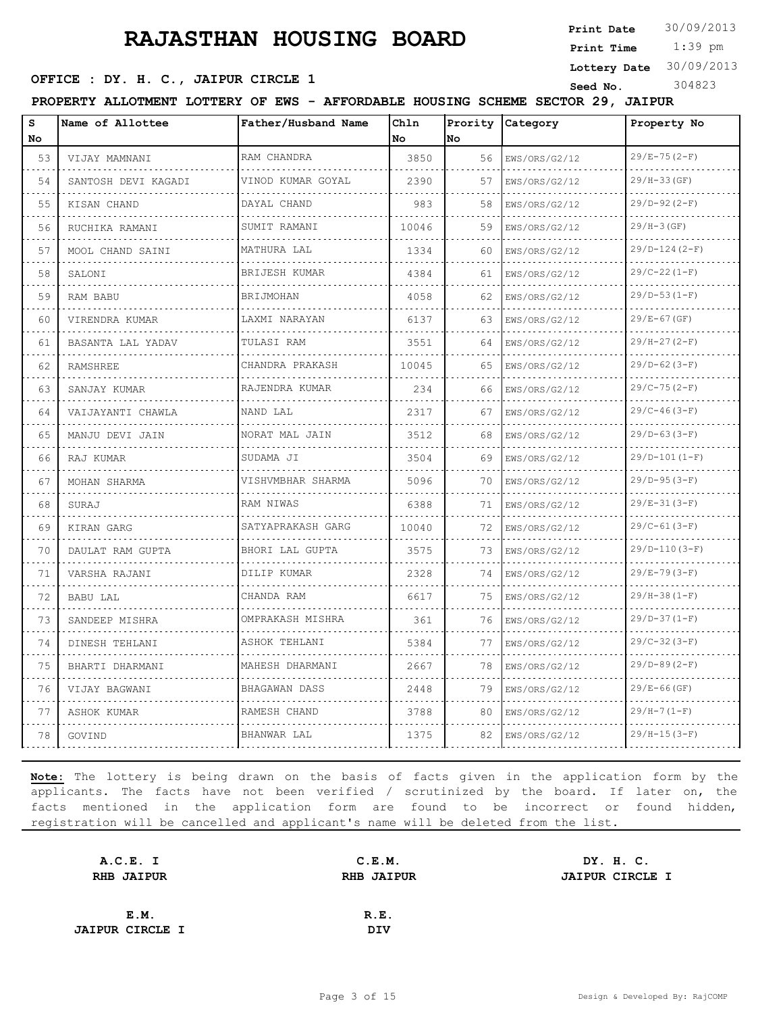**Print Date**  $30/09/2013$ 

 1:39 pm **Print Time**

**Lottery Date** 30/09/2013

#### **SEED OFFICE : DY. H. C., JAIPUR CIRCLE 1** Seed No. 304823

**PROPERTY ALLOTMENT LOTTERY OF EWS - AFFORDABLE HOUSING SCHEME SECTOR 29, JAIPUR**

| S   | Name of Allottee    | Father/Husband Name  | Chln  | Prority | Category      | Property No      |
|-----|---------------------|----------------------|-------|---------|---------------|------------------|
| No. |                     |                      | No    | No      |               |                  |
| 53  | VIJAY MAMNANI       | RAM CHANDRA          | 3850  | 56      | EWS/ORS/G2/12 | $29/E - 75(2-F)$ |
| 54  | SANTOSH DEVI KAGADI | VINOD KUMAR GOYAL    | 2390  | 57      | EWS/ORS/G2/12 | $29/H-33(GF)$    |
| 55  | KISAN CHAND         | DAYAL CHAND          | 983   | 58      | EWS/ORS/G2/12 | $29/D-92(2-F)$   |
| 56  | RUCHIKA RAMANI      | SUMIT RAMANI         | 10046 | 59      | EWS/ORS/G2/12 | $29/H-3(GF)$     |
| 57  | MOOL CHAND SAINI    | MATHURA LAL          | 1334  | 60      | EWS/ORS/G2/12 | $29/D-124(2-F)$  |
| 58  | SALONI              | BRIJESH KUMAR        | 4384  | 61      | EWS/ORS/G2/12 | $29/C-22(1-F)$   |
| 59  | RAM BABU            | <b>BRIJMOHAN</b>     | 4058  | 62      | EWS/ORS/G2/12 | $29/D-53 (1-F)$  |
| 60  | VIRENDRA KUMAR      | LAXMI NARAYAN        | 6137  | 63      | EWS/ORS/G2/12 | $29/E-67(GF)$    |
| 61  | BASANTA LAL YADAV   | TULASI RAM           | 3551  | 64      | EWS/ORS/G2/12 | $29/H-27(2-F)$   |
| 62  | <b>RAMSHREE</b>     | CHANDRA PRAKASH      | 10045 | 65      | EWS/ORS/G2/12 | $29/D-62(3-F)$   |
| 63  | SANJAY KUMAR        | RAJENDRA KUMAR       | 234   | 66      | EWS/ORS/G2/12 | $29/C-75(2-F)$   |
| 64  | VAIJAYANTI CHAWLA   | NAND LAL             | 2317  | 67      | EWS/ORS/G2/12 | $29/C-46(3-F)$   |
| 65  | MANJU DEVI JAIN     | NORAT MAL JAIN<br>.  | 3512  | 68      | EWS/ORS/G2/12 | $29/D-63(3-F)$   |
| 66  | RAJ KUMAR           | SUDAMA JI            | 3504  | 69      | EWS/ORS/G2/12 | $29/D-101(I-F)$  |
| 67  | MOHAN SHARMA        | VISHVMBHAR SHARMA    | 5096  | 70      | EWS/ORS/G2/12 | $29/D-95(3-F)$   |
| 68  | SURAJ               | RAM NIWAS            | 6388  | 71      | EWS/ORS/G2/12 | $29/E-31(3-F)$   |
| 69  | KIRAN GARG          | SATYAPRAKASH GARG    | 10040 | 72      | EWS/ORS/G2/12 | $29/C-61(3-F)$   |
| 70  | DAULAT RAM GUPTA    | BHORI LAL GUPTA      | 3575  | 73      | EWS/ORS/G2/12 | $29/D-110(3-F)$  |
| 71  | VARSHA RAJANI       | DILIP KUMAR<br>.     | 2328  | 74      | EWS/ORS/G2/12 | $29/E-79(3-F)$   |
| 72  | <b>BABU LAL</b>     | CHANDA RAM           | 6617  | 75      | EWS/ORS/G2/12 | $29/H-38 (1-F)$  |
| 73  | SANDEEP MISHRA      | OMPRAKASH MISHRA     | 361   | 76      | EWS/ORS/G2/12 | $29/D-37 (1-F)$  |
| 74  | DINESH TEHLANI      | ASHOK TEHLANI<br>.   | 5384  | 77      | EWS/ORS/G2/12 | $29/C-32(3-F)$   |
| 75  | BHARTI DHARMANI     | MAHESH DHARMANI<br>. | 2667  | 78      | EWS/ORS/G2/12 | $29/D-89(2-F)$   |
| 76  | VIJAY BAGWANI       | BHAGAWAN DASS        | 2448  | 79      | EWS/ORS/G2/12 | $29/E-66(GF)$    |
| 77  | ASHOK KUMAR         | RAMESH CHAND<br>.    | 3788  | 80      | EWS/ORS/G2/12 | $29/H-7(1-F)$    |
| 78  | GOVIND              | BHANWAR LAL          | 1375  | 82      | EWS/ORS/G2/12 | $29/H-15(3-F)$   |

| A.C.E. I               | C.E.M.            |  |                                     |
|------------------------|-------------------|--|-------------------------------------|
| <b>RHB JAIPUR</b>      | <b>RHB JAIPUR</b> |  |                                     |
|                        |                   |  |                                     |
| E.M.                   | R.E.              |  |                                     |
| <b>JAIPUR CIRCLE I</b> | <b>DIV</b>        |  |                                     |
|                        |                   |  | DY. H. C.<br><b>JAIPUR CIRCLE I</b> |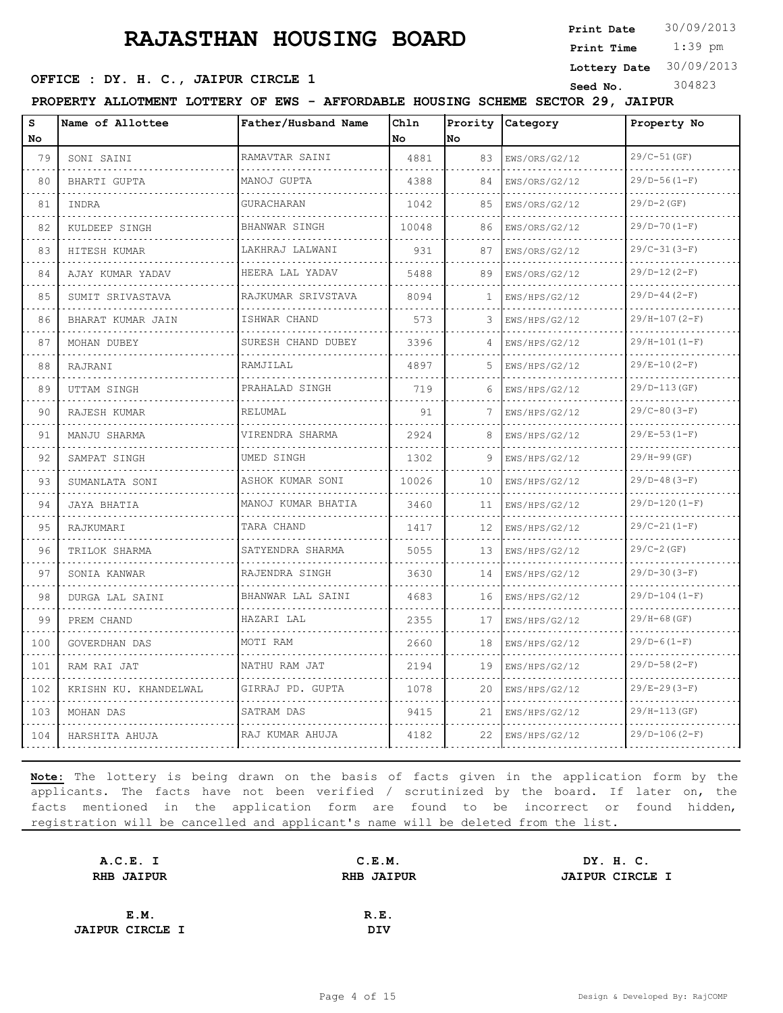**Print Date**  $30/09/2013$ 

 1:39 pm **Print Time**

#### **Lottery Date** 30/09/2013

#### **SEED OFFICE : DY. H. C., JAIPUR CIRCLE 1** Seed No. 304823

**PROPERTY ALLOTMENT LOTTERY OF EWS - AFFORDABLE HOUSING SCHEME SECTOR 29, JAIPUR**

| s<br>No | Name of Allottee            | Father/Husband Name     | Ch1n<br>No | Prority<br>lno.   | Category           | Property No      |
|---------|-----------------------------|-------------------------|------------|-------------------|--------------------|------------------|
| 79      | SONI SAINI                  | RAMAVTAR SAINI          | 4881       | 83                | EWS/ORS/G2/12      | 29/C-51 (GF)     |
| 80      | BHARTI GUPTA                | MANOJ GUPTA             | 4388       | 84                | EWS/ORS/G2/12      | $29/D-56(1-F)$   |
| 81      | INDRA                       | GURACHARAN              | 1042       | 85                | EWS/ORS/G2/12      | $29/D-2$ (GF)    |
| 82      | KULDEEP SINGH               | BHANWAR SINGH           | 10048      | 86                | EWS/ORS/G2/12      | $29/D-70(1-F)$   |
| 83      | HITESH KUMAR                | .<br>LAKHRAJ LALWANI    | 931        | 87                | EWS/ORS/G2/12      | $29/C-31(3-F)$   |
| 84      | AJAY KUMAR YADAV            | .<br>HEERA LAL YADAV    | 5488       | 89                | EWS/ORS/G2/12      | $29/D-12(2-F)$   |
| 85      | SUMIT SRIVASTAVA            | RAJKUMAR SRIVSTAVA<br>. | 8094       | -1                | EWS/HPS/G2/12      | $29/D-44 (2-F)$  |
| 86      | .<br>BHARAT KUMAR JAIN<br>. | ISHWAR CHAND<br>.       | 573        | 3                 | EWS/HPS/G2/12      | $29/H-107(2-F)$  |
| 87      | MOHAN DUBEY                 | SURESH CHAND DUBEY      | 3396       | 4                 | EWS/HPS/G2/12      | $29/H-101(I-F)$  |
| 88      | RAJRANI                     | RAMJILAL                | 4897       | 5                 | EWS/HPS/G2/12      | $29/E-10(2-F)$   |
| 89      | UTTAM SINGH                 | PRAHALAD SINGH          | 719        | 6                 | .<br>EWS/HPS/G2/12 | $29/D-113(GF)$   |
| 90      | RAJESH KUMAR                | RELUMAL                 | 91         | 7                 | EWS/HPS/G2/12      | $29/C-80(3-F)$   |
| 91      | MANJU SHARMA                | VIRENDRA SHARMA         | 2924       | 8                 | EWS/HPS/G2/12      | $29/E-53(1-F)$   |
| 92      | .<br>SAMPAT SINGH           | <u>.</u><br>UMED SINGH  | 1302       | 9                 | .<br>EWS/HPS/G2/12 | $29/H-99(GF)$    |
| 93      | SUMANLATA SONI              | ASHOK KUMAR SONI        | 10026      | 10                | EWS/HPS/G2/12      | $29/D-48(3-F)$   |
| 94      | JAYA BHATIA                 | MANOJ KUMAR BHATIA      | 3460       | 11                | EWS/HPS/G2/12      | $29/D-120 (1-F)$ |
| 95      | RAJKUMARI                   | TARA CHAND              | 1417       | $12 \overline{ }$ | EWS/HPS/G2/12      | $29/C-21(1-F)$   |
| 96      | TRILOK SHARMA               | SATYENDRA SHARMA        | 5055       | 13                | EWS/HPS/G2/12      | $29/C-2(GF)$     |
| 97      | SONIA KANWAR                | RAJENDRA SINGH<br>.     | 3630       | 14                | EWS/HPS/G2/12      | $29/D-30(3-F)$   |
| 98      | DURGA LAL SAINI             | BHANWAR LAL SAINI       | 4683       | 16                | EWS/HPS/G2/12      | $29/D-104 (1-F)$ |
| 99      | PREM CHAND                  | HAZARI LAL              | 2355       | 17                | EWS/HPS/G2/12      | $29/H-68$ (GF)   |
| 100     | GOVERDHAN DAS               | MOTI RAM                | 2660       | 18                | EWS/HPS/G2/12      | $29/D-6(1-F)$    |
| 101     | RAM RAI JAT                 | NATHU RAM JAT           | 2194       | 19                | EWS/HPS/G2/12      | $29/D-58(2-F)$   |
| 102     | KRISHN KU. KHANDELWAL       | GIRRAJ PD. GUPTA        | 1078       | 20                | EWS/HPS/G2/12      | $29/E - 29(3-F)$ |
| 103     | MOHAN DAS                   | SATRAM DAS              | 9415       | 21                | EWS/HPS/G2/12      | $29/H-113(GF)$   |
| 104     | HARSHITA AHUJA              | RAJ KUMAR AHUJA         | 4182       | 22                | EWS/HPS/G2/12      | $29/D-106(2-F)$  |

| A.C.E. I               | C.E.M.            | DY. H. C.              |
|------------------------|-------------------|------------------------|
| <b>RHB JAIPUR</b>      | <b>RHB JAIPUR</b> | <b>JAIPUR CIRCLE I</b> |
|                        |                   |                        |
| E.M.                   | R.E.              |                        |
| <b>JAIPUR CIRCLE I</b> | DIV               |                        |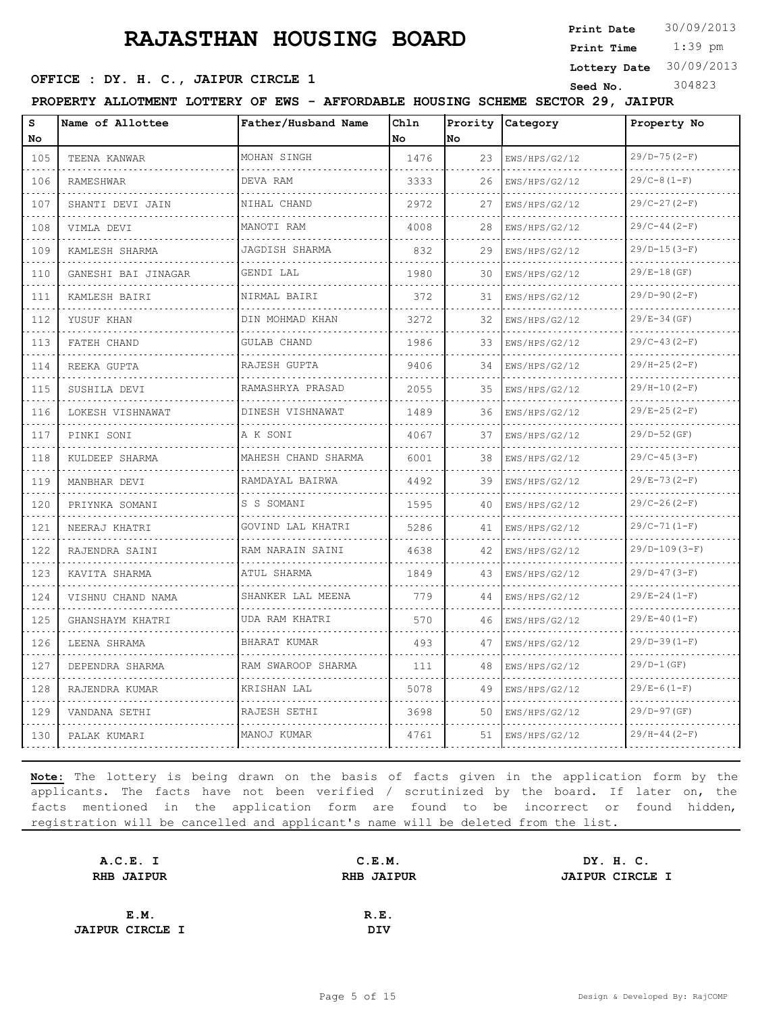**Print Date**  $30/09/2013$ 

 1:39 pm **Print Time**

**Lottery Date** 30/09/2013

#### **SEED OFFICE : DY. H. C., JAIPUR CIRCLE 1** Seed No. 304823

**PROPERTY ALLOTMENT LOTTERY OF EWS - AFFORDABLE HOUSING SCHEME SECTOR 29, JAIPUR**

| s<br>No | Name of Allottee    | Father/Husband Name    | Chln<br>No | Prority<br>lNo. | Category           | Property No        |
|---------|---------------------|------------------------|------------|-----------------|--------------------|--------------------|
| 105     | TEENA KANWAR        | MOHAN SINGH            | 1476       | 23              | EWS/HPS/G2/12      | $29/D - 75 (2-F)$  |
| 106     | RAMESHWAR           | DEVA RAM               | 3333       | 26              | .<br>EWS/HPS/G2/12 | .<br>$29/C-8(1-F)$ |
| 107     | SHANTI DEVI JAIN    | NIHAL CHAND            | 2972       | 27              | EWS/HPS/G2/12      | $29/C-27(2-F)$     |
| 108     | VIMLA DEVI          | MANOTI RAM<br>.        | 4008       | 28              | EWS/HPS/G2/12      | $29/C-44(2-F)$     |
| 109     | .<br>KAMLESH SHARMA | JAGDISH SHARMA         | 832        | 29              | .<br>EWS/HPS/G2/12 | $29/D-15(3-F)$     |
| 110     | GANESHI BAI JINAGAR | GENDI LAL              | 1980       | 30              | EWS/HPS/G2/12      | $29/E-18(GF)$      |
| 111     | KAMLESH BAIRI<br>.  | NIRMAL BAIRI<br>.      | 372        | 31              | EWS/HPS/G2/12<br>. | $29/D-90 (2-F)$    |
| 112     | YUSUF KHAN          | DIN MOHMAD KHAN        | 3272       | 32              | EWS/HPS/G2/12      | $29/E - 34(GF)$    |
| 113     | FATEH CHAND         | GULAB CHAND            | 1986       | 33              | EWS/HPS/G2/12      | $29/C-43(2-F)$     |
| 114     | REEKA GUPTA<br>.    | RAJESH GUPTA<br>.      | 9406       | 34              | EWS/HPS/G2/12<br>. | $29/H-25(2-F)$     |
| 115     | SUSHILA DEVI        | RAMASHRYA PRASAD       | 2055       | 35              | EWS/HPS/G2/12      | $29/H-10(2-F)$     |
| 116     | LOKESH VISHNAWAT    | DINESH VISHNAWAT<br>.  | 1489       | 36              | EWS/HPS/G2/12      | $29/E - 25(2-F)$   |
| 117     | PINKI SONI          | A K SONI               | 4067       | 37              | EWS/HPS/G2/12      | $29/D-52$ (GF)     |
| 118     | KULDEEP SHARMA      | MAHESH CHAND SHARMA    | 6001       | 38              | EWS/HPS/G2/12      | $29/C-45(3-F)$     |
| 119     | MANBHAR DEVI<br>.   | RAMDAYAL BAIRWA<br>.   | 4492       | 39              | EWS/HPS/G2/12      | $29/E - 73(2-F)$   |
| 120     | PRIYNKA SOMANI      | S S SOMANI             | 1595       | 40              | EWS/HPS/G2/12      | $29/C-26(2-F)$     |
| 121     | NEERAJ KHATRI       | GOVIND LAL KHATRI<br>. | 5286       | 41              | EWS/HPS/G2/12<br>. | $29/C-71(1-F)$     |
| 122     | RAJENDRA SAINI<br>. | RAM NARAIN SAINI<br>.  | 4638       | 42              | EWS/HPS/G2/12      | $29/D-109(3-F)$    |
| 123     | KAVITA SHARMA       | ATUL SHARMA            | 1849       | 43              | EWS/HPS/G2/12      | $29/D-47(3-F)$     |
| 124     | VISHNU CHAND NAMA   | SHANKER LAL MEENA<br>. | 779        | 44              | EWS/HPS/G2/12      | $29/E - 24(1-F)$   |
| 125     | GHANSHAYM KHATRI    | UDA RAM KHATRI<br>.    | 570        | 46              | EWS/HPS/G2/12      | $29/E-40(I-F)$     |
| 126     | LEENA SHRAMA        | BHARAT KUMAR           | 493        | 47              | EWS/HPS/G2/12      | $29/D-39(1-F)$     |
| 127     | DEPENDRA SHARMA     | RAM SWAROOP SHARMA     | 111        | 48              | EWS/HPS/G2/12      | $29/D-1$ (GF)      |
| 128     | RAJENDRA KUMAR      | KRISHAN LAL            | 5078       | 49              | EWS/HPS/G2/12      | $29/E-6(1-F)$      |
| 129     | VANDANA SETHI       | RAJESH SETHI           | 3698       | 50              | EWS/HPS/G2/12      | $29/D-97$ (GF)     |
| 130     | PALAK KUMARI        | MANOJ KUMAR            | 4761       | 51              | EWS/HPS/G2/12      | $29/H-44(2-F)$     |

| A.C.E. I               | C.E.M.            | DY. H. C.              |  |
|------------------------|-------------------|------------------------|--|
| <b>RHB JAIPUR</b>      | <b>RHB JAIPUR</b> | <b>JAIPUR CIRCLE I</b> |  |
|                        |                   |                        |  |
| E.M.                   | R.E.              |                        |  |
| <b>JAIPUR CIRCLE I</b> | DIV               |                        |  |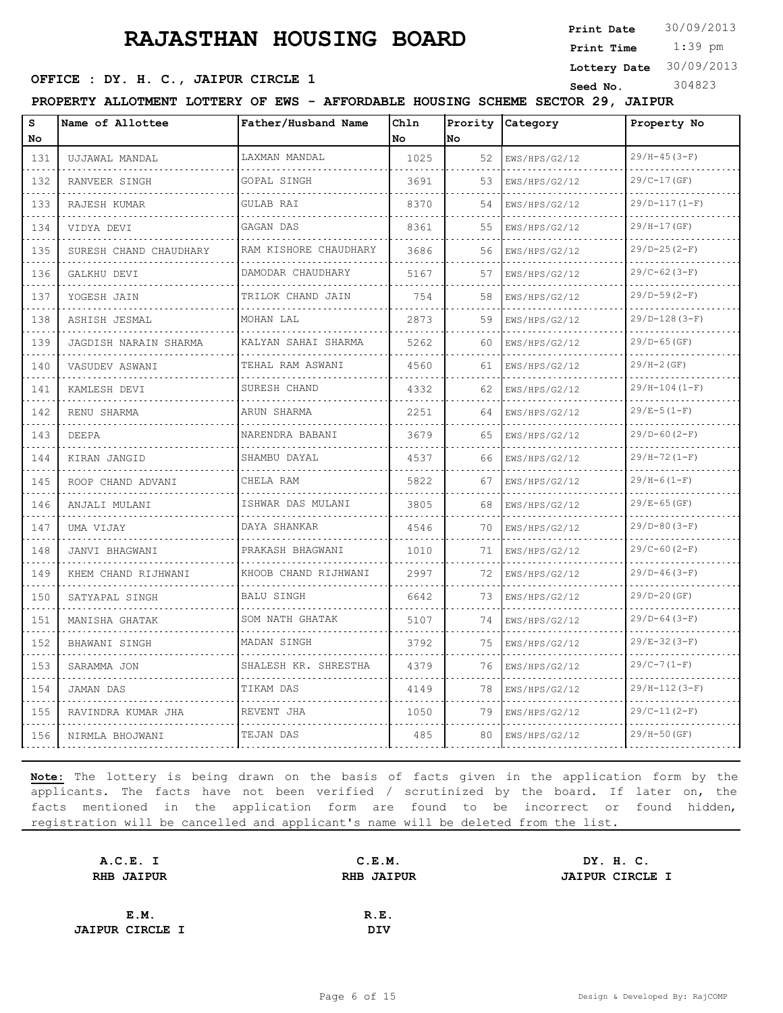**Print Date**  $30/09/2013$ 

 1:39 pm **Print Time**

#### **SEED OFFICE : DY. H. C., JAIPUR CIRCLE 1** Seed No. 304823

**Lottery Date** 30/09/2013

**PROPERTY ALLOTMENT LOTTERY OF EWS - AFFORDABLE HOUSING SCHEME SECTOR 29, JAIPUR**

| s   | Name of Allottee       | Father/Husband Name    | Chln      | Prority | Category           | Property No     |
|-----|------------------------|------------------------|-----------|---------|--------------------|-----------------|
| No  |                        |                        | <b>No</b> | lno.    |                    |                 |
| 131 | UJJAWAL MANDAL         | LAXMAN MANDAL          | 1025      | 52      | EWS/HPS/G2/12      | $29/H-45(3-F)$  |
| 132 | RANVEER SINGH          | GOPAL SINGH            | 3691      | 53      | EWS/HPS/G2/12      | $29/C-17(GF)$   |
| 133 | RAJESH KUMAR           | <b>GULAB RAI</b>       | 8370      | 54      | EWS/HPS/G2/12      | $29/D-117(1-F)$ |
| 134 | VIDYA DEVI             | GAGAN DAS              | 8361      | 55      | EWS/HPS/G2/12      | 29/H-17(GF)     |
| 135 | SURESH CHAND CHAUDHARY | RAM KISHORE CHAUDHARY  | 3686      | 56      | EWS/HPS/G2/12      | $29/D-25(2-F)$  |
| 136 | GALKHU DEVI            | DAMODAR CHAUDHARY      | 5167      | 57      | EWS/HPS/G2/12      | $29/C-62(3-F)$  |
| 137 | YOGESH JAIN            | TRILOK CHAND JAIN<br>. | 754       | 58      | EWS/HPS/G2/12      | $29/D-59(2-F)$  |
| 138 | ASHISH JESMAL          | MOHAN LAL              | 2873      | 59      | EWS/HPS/G2/12      | $29/D-128(3-F)$ |
| 139 | JAGDISH NARAIN SHARMA  | KALYAN SAHAI SHARMA    | 5262      | 60      | EWS/HPS/G2/12      | $29/D-65$ (GF)  |
| 140 | VASUDEV ASWANI         | TEHAL RAM ASWANI<br>.  | 4560      | 61      | EWS/HPS/G2/12      | $29/H - 2(GF)$  |
| 141 | KAMLESH DEVI           | SURESH CHAND           | 4332      | 62      | EWS/HPS/G2/12      | $29/H-104(I-F)$ |
| 142 | RENU SHARMA            | ARUN SHARMA            | 2251      | 64      | EWS/HPS/G2/12      | $29/E-5(1-F)$   |
| 143 | <b>DEEPA</b>           | NARENDRA BABANI<br>.   | 3679      | 65      | EWS/HPS/G2/12<br>. | $29/D-60 (2-F)$ |
| 144 | KIRAN JANGID           | SHAMBU DAYAL           | 4537      | 66      | EWS/HPS/G2/12      | $29/H-72(1-F)$  |
| 145 | ROOP CHAND ADVANI      | CHELA RAM              | 5822      | 67      | EWS/HPS/G2/12      | $29/H-6(1-F)$   |
| 146 | ANJALI MULANI          | ISHWAR DAS MULANI<br>. | 3805      | 68      | EWS/HPS/G2/12      | $29/E-65(GF)$   |
| 147 | UMA VIJAY              | DAYA SHANKAR           | 4546      | 70      | EWS/HPS/G2/12      | $29/D-80(3-F)$  |
| 148 | JANVI BHAGWANI<br>.    | PRAKASH BHAGWANI<br>.  | 1010      | 71      | EWS/HPS/G2/12      | $29/C-60 (2-F)$ |
| 149 | KHEM CHAND RIJHWANI    | KHOOB CHAND RIJHWANI   | 2997      | 72      | EWS/HPS/G2/12      | $29/D-46(3-F)$  |
| 150 | SATYAPAL SINGH         | BALU SINGH             | 6642      | 73      | EWS/HPS/G2/12      | $29/D-20$ (GF)  |
| 151 | MANISHA GHATAK         | SOM NATH GHATAK<br>.   | 5107      | 74      | EWS/HPS/G2/12      | $29/D-64(3-F)$  |
| 152 | BHAWANI SINGH          | MADAN SINGH            | 3792      | 75      | EWS/HPS/G2/12      | $29/E-32(3-F)$  |
| 153 | SARAMMA JON            | SHALESH KR. SHRESTHA   | 4379      | 76      | EWS/HPS/G2/12      | $29/C-7(1-F)$   |
| 154 | JAMAN DAS              | TIKAM DAS              | 4149      | 78      | EWS/HPS/G2/12      | $29/H-112(3-F)$ |
| 155 | RAVINDRA KUMAR JHA     | REVENT JHA             | 1050      | 79      | EWS/HPS/G2/12      | $29/C-11(2-F)$  |
| 156 | NIRMLA BHOJWANI        | TEJAN DAS              | 485       | 80      | EWS/HPS/G2/12      | $29/H-50$ (GF)  |

| A.C.E. I               | C.E.M.            |  |                                     |
|------------------------|-------------------|--|-------------------------------------|
| <b>RHB JAIPUR</b>      | <b>RHB JAIPUR</b> |  |                                     |
|                        |                   |  |                                     |
| E.M.                   | R.E.              |  |                                     |
| <b>JAIPUR CIRCLE I</b> | <b>DIV</b>        |  |                                     |
|                        |                   |  | DY. H. C.<br><b>JAIPUR CIRCLE I</b> |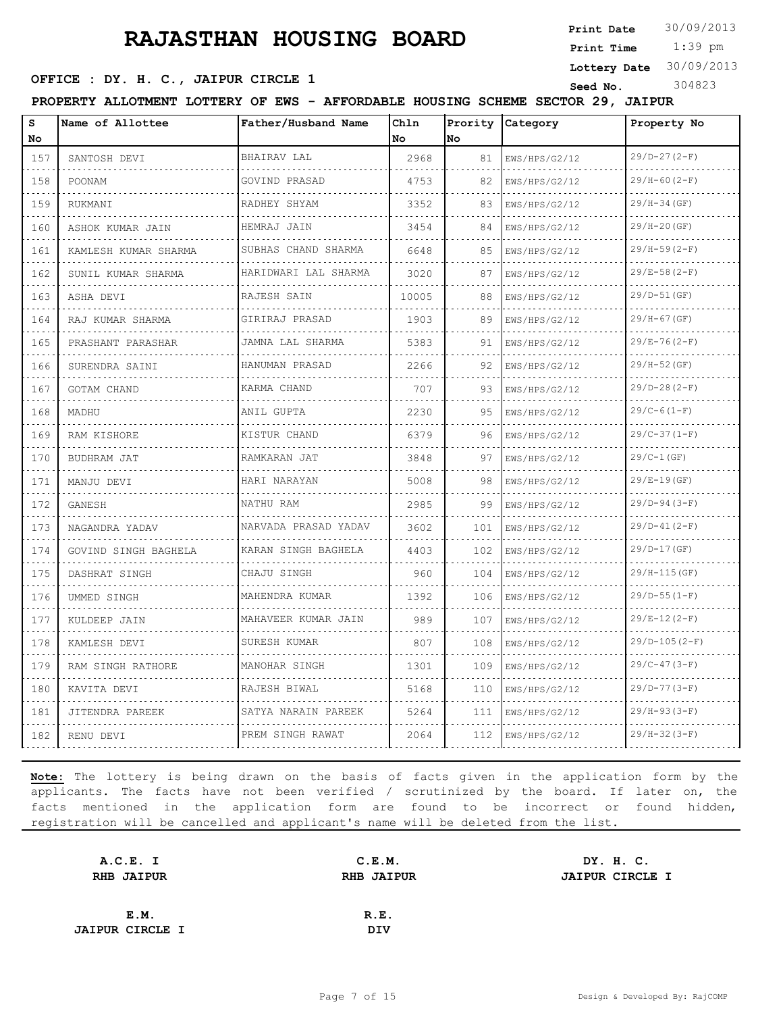**Print Date**  $30/09/2013$ 

 1:39 pm **Print Time**

# **SEED OFFICE : DY. H. C., JAIPUR CIRCLE 1** Seed No. 304823

**Lottery Date** 30/09/2013

**PROPERTY ALLOTMENT LOTTERY OF EWS - AFFORDABLE HOUSING SCHEME SECTOR 29, JAIPUR**

| s<br>No                            | Name of Allottee          | Father/Husband Name              | Chln<br>l No | Prority<br>No | Category           | Property No      |
|------------------------------------|---------------------------|----------------------------------|--------------|---------------|--------------------|------------------|
| 157                                | SANTOSH DEVI              | BHAIRAV LAL                      | 2968         | 81            | EWS/HPS/G2/12      | $29/D-27(2-F)$   |
| $\sim$ $\sim$ $\sim$ $\sim$<br>158 | POONAM                    | GOVIND PRASAD                    | 4753         | 82            | .<br>EWS/HPS/G2/12 | $29/H-60(2-F)$   |
| 159                                | <b>RUKMANT</b>            | RADHEY SHYAM                     | 3352         | 83            | EWS/HPS/G2/12      | $29/H-34(GF)$    |
| 160                                | ASHOK KUMAR JAIN          | HEMRAJ JAIN<br>.                 | 3454         | 84            | EWS/HPS/G2/12      | $29/H - 20(GF)$  |
| 161                                | .<br>KAMLESH KUMAR SHARMA | SUBHAS CHAND SHARMA              | 6648         | 85            | .<br>EWS/HPS/G2/12 | $29/H-59(2-F)$   |
| 162                                | SUNIL KUMAR SHARMA        | <u>.</u><br>HARIDWARI LAL SHARMA | 3020         | 87            | EWS/HPS/G2/12      | $29/E-58(2-F)$   |
| 163                                | ASHA DEVI                 | RAJESH SAIN<br>.                 | 10005        | 88            | EWS/HPS/G2/12      | 29/D-51 (GF)     |
| 164                                | RAJ KUMAR SHARMA          | GIRIRAJ PRASAD                   | 1903         | 89            | EWS/HPS/G2/12      | $29/H-67(GF)$    |
| 165                                | PRASHANT PARASHAR         | JAMNA LAL SHARMA                 | 5383         | 91            | EWS/HPS/G2/12      | $29/E - 76(2-F)$ |
| 166<br>$- - - -$                   | SURENDRA SAINI            | HANUMAN PRASAD<br>.              | 2266         | 92            | EWS/HPS/G2/12      | $29/H-52(GF)$    |
| 167                                | GOTAM CHAND               | KARMA CHAND                      | 707          | 93            | EWS/HPS/G2/12      | $29/D-28(2-F)$   |
| 168                                | MADHU                     | ANIL GUPTA                       | 2230         | 95            | EWS/HPS/G2/12      | $29/C-6(1-F)$    |
| 169                                | RAM KISHORE               | KISTUR CHAND                     | 6379         | 96            | EWS/HPS/G2/12      | $29/C-37(1-F)$   |
| 170                                | BUDHRAM JAT               | RAMKARAN JAT                     | 3848         | 97            | EWS/HPS/G2/12      | $29/C-1(GF)$     |
| 171                                | MANJU DEVI                | HARI NARAYAN                     | 5008         | 98            | EWS/HPS/G2/12      | $29/E-19(GF)$    |
| 172                                | GANESH                    | NATHU RAM                        | 2985         | 99            | EWS/HPS/G2/12      | $29/D-94(3-F)$   |
| 173                                | NAGANDRA YADAV            | NARVADA PRASAD YADAV             | 3602         | 101           | EWS/HPS/G2/12      | $29/D-41(2-F)$   |
| 174                                | GOVIND SINGH BAGHELA      | KARAN SINGH BAGHELA<br>.         | 4403         | 102           | EWS/HPS/G2/12      | $29/D-17(GF)$    |
| 175                                | DASHRAT SINGH             | CHAJU SINGH                      | 960          | 104           | EWS/HPS/G2/12      | $29/H-115(GF)$   |
| 176                                | UMMED SINGH               | MAHENDRA KUMAR                   | 1392         | 106           | EWS/HPS/G2/12      | $29/D-55 (1-F)$  |
| $- - - -$<br>177                   | KULDEEP JAIN              | MAHAVEER KUMAR JAIN<br>.         | 989          | 107           | EWS/HPS/G2/12      | $29/E-12(2-F)$   |
| 178                                | KAMLESH DEVI              | SURESH KUMAR                     | 807          | 108           | EWS/HPS/G2/12      | $29/D-105(2-F)$  |
| 179                                | RAM SINGH RATHORE         | MANOHAR SINGH                    | 1301         | 109           | EWS/HPS/G2/12      | $29/C-47(3-F)$   |
| 180                                | KAVITA DEVI               | RAJESH BIWAL                     | 5168         | 110           | EWS/HPS/G2/12      | $29/D-77(3-F)$   |
| 181                                | JITENDRA PAREEK           | SATYA NARAIN PAREEK              | 5264         | 111           | EWS/HPS/G2/12      | $29/H-93(3-F)$   |
| 182                                | RENU DEVI                 | PREM SINGH RAWAT                 | 2064         | 112           | EWS/HPS/G2/12      | $29/H-32(3-F)$   |

| A.C.E. I               | C.E.M.            | DY. H. C.              |
|------------------------|-------------------|------------------------|
| <b>RHB JAIPUR</b>      | <b>RHB JAIPUR</b> | <b>JAIPUR CIRCLE I</b> |
|                        |                   |                        |
| E.M.                   | R.E.              |                        |
| <b>JAIPUR CIRCLE I</b> | DIV               |                        |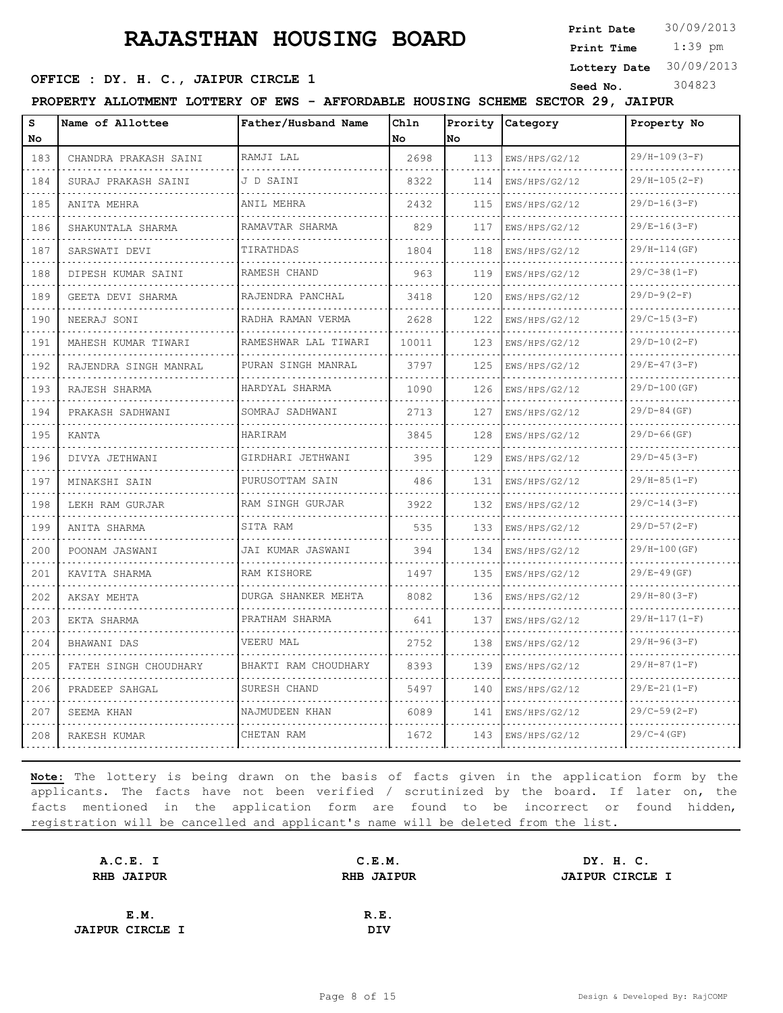**Print Date**  $30/09/2013$ 

 1:39 pm **Print Time**

#### **SEED OFFICE : DY. H. C., JAIPUR CIRCLE 1** Seed No. 304823

**Lottery Date** 30/09/2013

|  |  |  | PROPERTY ALLOTMENT LOTTERY OF EWS - AFFORDABLE HOUSING SCHEME SECTOR 29, JAIPUR |  |  |  |
|--|--|--|---------------------------------------------------------------------------------|--|--|--|
|  |  |  |                                                                                 |  |  |  |

| s<br>No | Name of Allottee      | Father/Husband Name        | Chln<br>No | Prority<br>lno. | Category      | Property No          |
|---------|-----------------------|----------------------------|------------|-----------------|---------------|----------------------|
| 183     | CHANDRA PRAKASH SAINI | RAMJI LAL                  | 2698       | 113             | EWS/HPS/G2/12 | $29/H-109(3-F)$      |
| 184     | SURAJ PRAKASH SAINI   | J D SAINI                  | 8322       | 114             | EWS/HPS/G2/12 | .<br>$29/H-105(2-F)$ |
| 185     | ANITA MEHRA           | ANIL MEHRA                 | 2432       | 115             | EWS/HPS/G2/12 | $29/D-16(3-F)$       |
| 186     | SHAKUNTALA SHARMA     | RAMAVTAR SHARMA            | 829        | 117             | EWS/HPS/G2/12 | $29/E-16(3-F)$       |
| 187     | SARSWATI DEVI         | TIRATHDAS                  | 1804       | 118             | EWS/HPS/G2/12 | $29/H-114(GF)$       |
| 188     | DIPESH KUMAR SAINI    | RAMESH CHAND               | 963        | 119             | EWS/HPS/G2/12 | $29/C-38(1-F)$       |
| 189     | GEETA DEVI SHARMA     | RAJENDRA PANCHAL<br>.      | 3418       | 120             | EWS/HPS/G2/12 | $29/D-9(2-F)$        |
| 190     | NEERAJ SONI           | RADHA RAMAN VERMA<br>.     | 2628       | 122             | EWS/HPS/G2/12 | $29/C-15(3-F)$       |
| 191     | MAHESH KUMAR TIWARI   | RAMESHWAR LAL TIWARI       | 10011      | 123             | EWS/HPS/G2/12 | $29/D-10(2-F)$       |
| 192     | RAJENDRA SINGH MANRAL | PURAN SINGH MANRAL<br>.    | 3797       | 125             | EWS/HPS/G2/12 | $29/E-47(3-F)$       |
| 193     | RAJESH SHARMA         | HARDYAL SHARMA             | 1090       | 126             | EWS/HPS/G2/12 | $29/D-100$ (GF)      |
| 194     | PRAKASH SADHWANI      | SOMRAJ SADHWANI            | 2713       | 127             | EWS/HPS/G2/12 | $29/D-84$ (GF)       |
| 195     | KANTA                 | HARIRAM                    | 3845       | 128             | EWS/HPS/G2/12 | $29/D-66$ (GF)       |
| 196     | DIVYA JETHWANI        | GIRDHARI JETHWANI          | 395        | 129             | EWS/HPS/G2/12 | $29/D-45(3-F)$       |
| 197     | MINAKSHI SAIN         | PURUSOTTAM SAIN            | 486        | 131             | EWS/HPS/G2/12 | $29/H-85(1-F)$       |
| 198     | LEKH RAM GURJAR       | RAM SINGH GURJAR           | 3922       | 132             | EWS/HPS/G2/12 | $29/C-14(3-F)$       |
| 199     | ANITA SHARMA          | SITA RAM                   | 535        | 133             | EWS/HPS/G2/12 | $29/D-57(2-F)$       |
| 200     | POONAM JASWANI<br>.   | JAI KUMAR JASWANI<br>.     | 394        | 134             | EWS/HPS/G2/12 | $29/H-100$ (GF)      |
| 201     | KAVITA SHARMA         | RAM KISHORE                | 1497       | 135             | EWS/HPS/G2/12 | $29/E - 49(GF)$      |
| 202     | AKSAY MEHTA           | <b>DURGA SHANKER MEHTA</b> | 8082       | 136             | EWS/HPS/G2/12 | $29/H-80(3-F)$       |
| 203     | EKTA SHARMA           | PRATHAM SHARMA             | 641        | 137             | EWS/HPS/G2/12 | $29/H-117(1-F)$      |
| 204     | BHAWANI DAS           | VEERU MAL                  | 2752       | 138             | EWS/HPS/G2/12 | $29/H-96(3-F)$       |
| 205     | FATEH SINGH CHOUDHARY | BHAKTI RAM CHOUDHARY       | 8393       | 139             | EWS/HPS/G2/12 | $29/H-87(1-F)$       |
| 206     | PRADEEP SAHGAL        | SURESH CHAND               | 5497       | 140             | EWS/HPS/G2/12 | $29/E-21(1-F)$       |
| 207     | SEEMA KHAN            | NAJMUDEEN KHAN             | 6089       | 141             | EWS/HPS/G2/12 | $29/C-59(2-F)$       |
| 208     | RAKESH KUMAR          | CHETAN RAM                 | 1672       | 143             | EWS/HPS/G2/12 | $29/C-4(GF)$         |

| A.C.E. I               | C.E.M.            | DY. H. C.              |  |
|------------------------|-------------------|------------------------|--|
| RHB JAIPUR             | <b>RHB JAIPUR</b> | <b>JAIPUR CIRCLE I</b> |  |
|                        |                   |                        |  |
| E.M.                   | R.E.              |                        |  |
| <b>JAIPUR CIRCLE I</b> | DIV               |                        |  |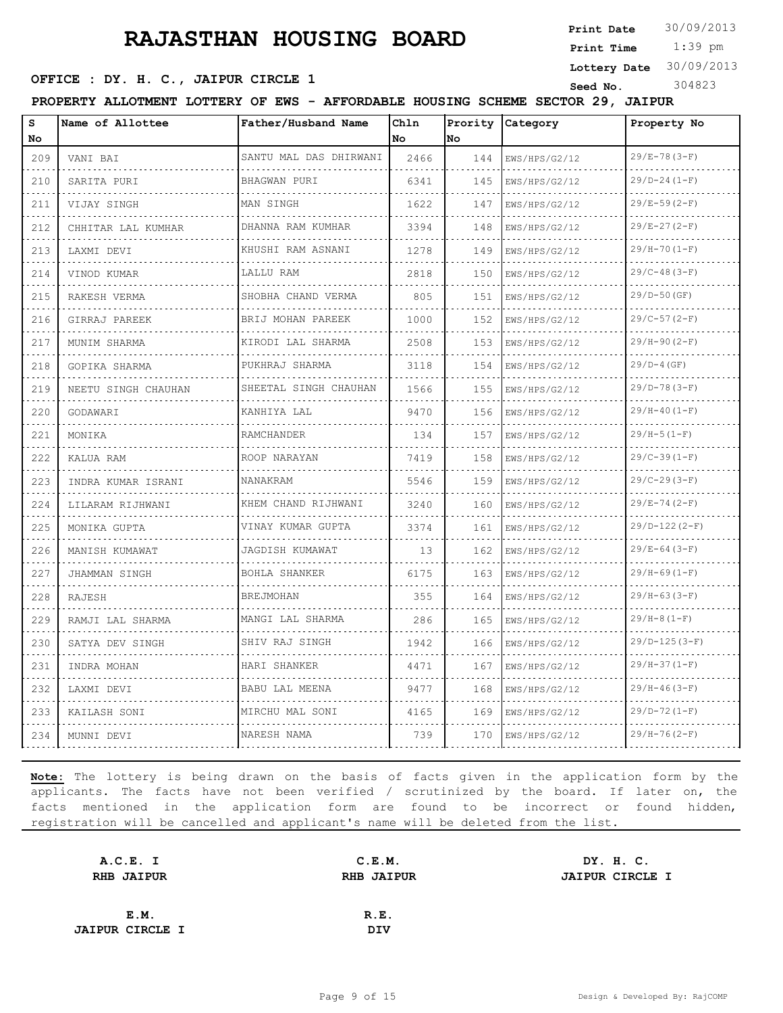**Print Date**  $30/09/2013$ 

 1:39 pm **Print Time**

**Lottery Date** 30/09/2013

#### **SEED OFFICE : DY. H. C., JAIPUR CIRCLE 1** Seed No. 304823

**PROPERTY ALLOTMENT LOTTERY OF EWS - AFFORDABLE HOUSING SCHEME SECTOR 29, JAIPUR**

| s<br>No.                                                                                                                         | Name of Allottee    | Father/Husband Name        | Chln<br>No | Prority<br>No | Category           | Property No                  |
|----------------------------------------------------------------------------------------------------------------------------------|---------------------|----------------------------|------------|---------------|--------------------|------------------------------|
| 209                                                                                                                              | VANI BAI            | SANTU MAL DAS DHIRWANI     | 2466       | 144           | EWS/HPS/G2/12      | $29/E - 78(3-F)$             |
| $\frac{1}{2} \left( \frac{1}{2} \right) \left( \frac{1}{2} \right) \left( \frac{1}{2} \right) \left( \frac{1}{2} \right)$<br>210 | SARITA PURI         | BHAGWAN PURI               | 6341       | 145           | EWS/HPS/G2/12      | $29/D - 24 (1 - F)$          |
| 211                                                                                                                              | VIJAY SINGH         | MAN SINGH                  | 1622       | 147           | EWS/HPS/G2/12      | $29/E-59(2-F)$               |
| 212                                                                                                                              | CHHITAR LAL KUMHAR  | DHANNA RAM KUMHAR<br>.     | 3394       | 148           | EWS/HPS/G2/12      | $29/E-27(2-F)$               |
| .<br>213                                                                                                                         | LAXMI DEVI          | KHUSHI RAM ASNANI<br>.     | 1278       | 149           | EWS/HPS/G2/12      | $29/H-70(I-F)$               |
| 214                                                                                                                              | VINOD KUMAR         | LALLU RAM                  | 2818       | 150           | EWS/HPS/G2/12      | $29/C-48(3-F)$               |
| 215                                                                                                                              | RAKESH VERMA        | SHOBHA CHAND VERMA<br>.    | 805        | 151           | EWS/HPS/G2/12      | $29/D-50$ (GF)               |
| الدائد الدائد<br>216                                                                                                             | GIRRAJ PAREEK       | BRIJ MOHAN PAREEK<br>.     | 1000       | 152           | EWS/HPS/G2/12      | $29/C-57(2-F)$               |
| 217                                                                                                                              | MUNIM SHARMA        | KIRODI LAL SHARMA          | 2508       | 153           | EWS/HPS/G2/12      | $29/H-90 (2-F)$              |
| 218                                                                                                                              | GOPIKA SHARMA<br>.  | PUKHRAJ SHARMA<br>.        | 3118       | 154           | EWS/HPS/G2/12<br>. | $29/D-4$ (GF)                |
| 219                                                                                                                              | NEETU SINGH CHAUHAN | SHEETAL SINGH CHAUHAN<br>. | 1566       | 155           | EWS/HPS/G2/12      | $29/D-78(3-F)$               |
| 220                                                                                                                              | GODAWARI            | KANHIYA LAL                | 9470       | 156           | EWS/HPS/G2/12      | $29/H-40(I-F)$               |
| 221<br>$\omega$ , $\omega$ , $\omega$                                                                                            | MONIKA              | RAMCHANDER<br>.            | 134        | 157           | EWS/HPS/G2/12      | $29/H-5(1-F)$                |
| 222                                                                                                                              | KALUA RAM           | ROOP NARAYAN               | 7419       | 158           | EWS/HPS/G2/12      | $29/C-39(1-F)$               |
| 223                                                                                                                              | INDRA KUMAR ISRANI  | NANAKRAM                   | 5546       | 159           | EWS/HPS/G2/12      | $29/C-29(3-F)$               |
| 224<br>.                                                                                                                         | LILARAM RIJHWANI    | KHEM CHAND RIJHWANI<br>.   | 3240       | 160           | EWS/HPS/G2/12      | $29/E - 74(2-F)$<br><u>.</u> |
| 225                                                                                                                              | MONIKA GUPTA        | VINAY KUMAR GUPTA          | 3374       | 161           | EWS/HPS/G2/12      | $29/D-122(2-F)$              |
| 226                                                                                                                              | MANISH KUMAWAT      | JAGDISH KUMAWAT<br>.       | 13         | 162           | EWS/HPS/G2/12      | $29/E-64(3-F)$               |
| 227<br>.                                                                                                                         | JHAMMAN SINGH       | BOHLA SHANKER              | 6175       | 163           | EWS/HPS/G2/12      | $29/H-69(1-F)$               |
| 228                                                                                                                              | RAJESH              | <b>BREJMOHAN</b>           | 355        | 164           | EWS/HPS/G2/12      | $29/H-63(3-F)$               |
| 229                                                                                                                              | RAMJI LAL SHARMA    | MANGI LAL SHARMA           | 286        | 165           | EWS/HPS/G2/12      | $29/H-8(1-F)$                |
| 230                                                                                                                              | SATYA DEV SINGH     | SHIV RAJ SINGH             | 1942       | 166           | EWS/HPS/G2/12      | $29/D-125(3-F)$              |
| 231<br>$-1 - 1 - 1$                                                                                                              | INDRA MOHAN         | HARI SHANKER               | 4471       | 167           | EWS/HPS/G2/12      | $29/H-37 (1-F)$              |
| 232                                                                                                                              | LAXMI DEVI          | BABU LAL MEENA             | 9477       | 168           | EWS/HPS/G2/12      | $29/H - 46(3-F)$             |
| 233                                                                                                                              | KAILASH SONI        | MIRCHU MAL SONI            | 4165       | 169           | EWS/HPS/G2/12      | $29/D-72 (1-F)$              |
| 234                                                                                                                              | MUNNI DEVI          | NARESH NAMA                | 739        | 170           | EWS/HPS/G2/12      | $29/H - 76(2-F)$             |

| A.C.E. I               | C.E.M.            | DY. H. C.              |  |
|------------------------|-------------------|------------------------|--|
| <b>RHB JAIPUR</b>      | <b>RHB JAIPUR</b> | <b>JAIPUR CIRCLE I</b> |  |
|                        |                   |                        |  |
| E.M.                   | R.E.              |                        |  |
| <b>JAIPUR CIRCLE I</b> | DIV               |                        |  |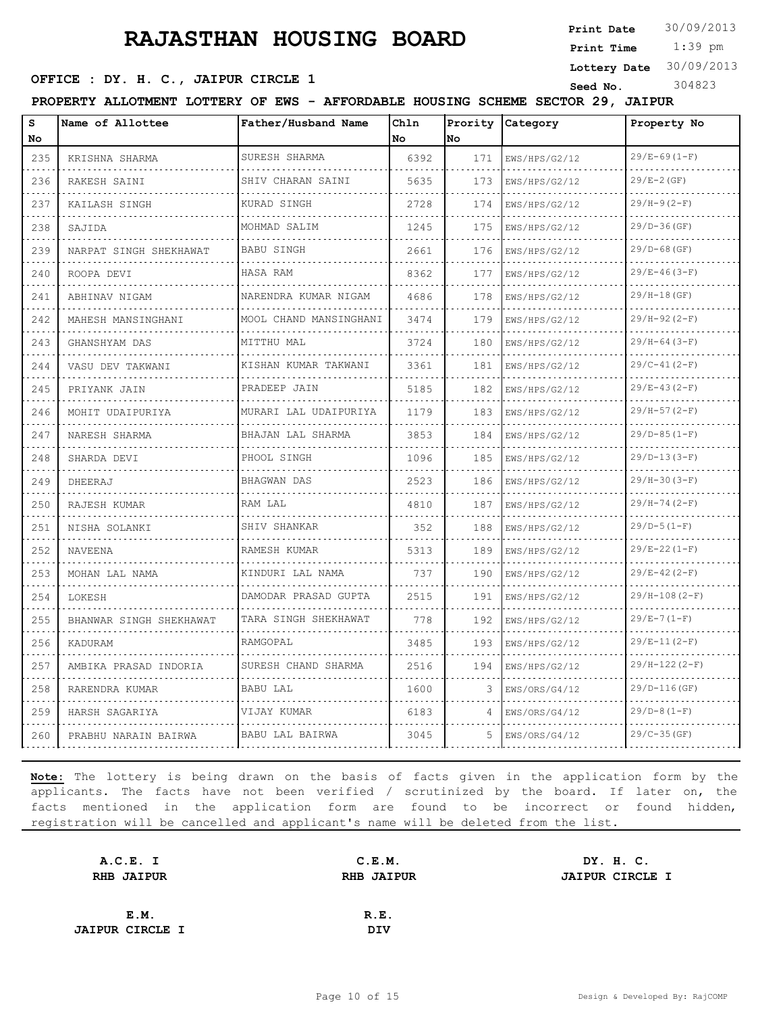**Print Date**  $30/09/2013$ 

 1:39 pm **Print Time**

#### **SEED OFFICE : DY. H. C., JAIPUR CIRCLE 1** Seed No. 304823

**Lottery Date** 30/09/2013

**PROPERTY ALLOTMENT LOTTERY OF EWS - AFFORDABLE HOUSING SCHEME SECTOR 29, JAIPUR**

| s<br>Nο                                                 | Name of Allottee        | Father/Husband Name       | Chln<br>No | Prority<br>No | Category      | Property No        |
|---------------------------------------------------------|-------------------------|---------------------------|------------|---------------|---------------|--------------------|
| 235                                                     | KRISHNA SHARMA          | SURESH SHARMA             | 6392       | 171           | EWS/HPS/G2/12 | $29/E-69(1-F)$     |
| 236                                                     | RAKESH SAINI            | .<br>SHIV CHARAN SAINI    | 5635       | 173           | EWS/HPS/G2/12 | $29/E - 2(GF)$     |
| 237                                                     | KAILASH SINGH           | KURAD SINGH               | 2728       | 174           | EWS/HPS/G2/12 | $29/H-9(2-F)$      |
| 238                                                     | SAJIDA                  | MOHMAD SALIM              | 1245       | 175           | EWS/HPS/G2/12 | $29/D-36$ (GF)     |
| $  -$<br>239                                            | NARPAT SINGH SHEKHAWAT  | .<br><b>BABU SINGH</b>    | 2661       | 176           | EWS/HPS/G2/12 | $29/D-68$ (GF)     |
| 240                                                     | ROOPA DEVI              | HASA RAM                  | 8362       | 177           | EWS/HPS/G2/12 | $29/E - 46(3-F)$   |
| 241                                                     | ABHINAV NIGAM<br>.      | NARENDRA KUMAR NIGAM      | 4686       | 178           | EWS/HPS/G2/12 | 29/H-18(GF)        |
| $\omega_{\rm c} = \omega_{\rm c} \omega_{\rm c}$<br>242 | MAHESH MANSINGHANI      | MOOL CHAND MANSINGHANI    | 3474       | 179           | EWS/HPS/G2/12 | $29/H-92 (2-F)$    |
| 243                                                     | GHANSHYAM DAS           | MITTHU MAL                | 3724       | 180           | EWS/HPS/G2/12 | $29/H-64(3-F)$     |
| 244                                                     | VASU DEV TAKWANI        | KISHAN KUMAR TAKWANI      | 3361       | 181           | EWS/HPS/G2/12 | $29/C-41(2-F)$     |
| 245                                                     | PRIYANK JAIN            | PRADEEP JAIN              | 5185       | 182           | EWS/HPS/G2/12 | $29/E-43(2-F)$     |
| $\sim$ $\sim$ $\sim$ $\sim$<br>246                      | MOHIT UDAIPURIYA        | MURARI LAL UDAIPURIYA     | 1179       | 183           | EWS/HPS/G2/12 | $29/H-57(2-F)$     |
| 247                                                     | NARESH SHARMA           | BHAJAN LAL SHARMA<br>.    | 3853       | 184           | EWS/HPS/G2/12 | $29/D-85(1-F)$     |
| 248                                                     | SHARDA DEVI             | PHOOL SINGH               | 1096       | 185           | EWS/HPS/G2/12 | $29/D-13(3-F)$     |
| 249                                                     | DHEERAJ                 | BHAGWAN DAS               | 2523       | 186           | EWS/HPS/G2/12 | $29/H-30(3-F)$     |
| 250                                                     | RAJESH KUMAR            | RAM LAL                   | 4810       | 187           | EWS/HPS/G2/12 | $29/H-74(2-F)$     |
| 251                                                     | NISHA SOLANKI           | SHIV SHANKAR              | 352        | 188           | EWS/HPS/G2/12 | $29/D-5(1-F)$      |
| 252                                                     | <b>NAVEENA</b>          | RAMESH KUMAR              | 5313       | 189           | EWS/HPS/G2/12 | $29/E - 22(1 - F)$ |
| 253                                                     | MOHAN LAL NAMA          | KINDURI LAL NAMA          | 737        | 190           | EWS/HPS/G2/12 | $29/E-42(2-F)$     |
| 254                                                     | LOKESH                  | DAMODAR PRASAD GUPTA<br>. | 2515       | 191           | EWS/HPS/G2/12 | $29/H-108(2-F)$    |
| 255                                                     | BHANWAR SINGH SHEKHAWAT | TARA SINGH SHEKHAWAT      | 778        | 192           | EWS/HPS/G2/12 | $29/E - 7(1-F)$    |
| 256                                                     | KADURAM                 | RAMGOPAL                  | 3485       | 193           | EWS/HPS/G2/12 | $29/E-11(2-F)$     |
| 257                                                     | AMBIKA PRASAD INDORIA   | SURESH CHAND SHARMA       | 2516       | 194           | EWS/HPS/G2/12 | $29/H-122(2-F)$    |
| 258                                                     | RARENDRA KUMAR          | BABU LAL                  | 1600       | 3             | EWS/ORS/G4/12 | $29/D-116$ (GF)    |
| 259                                                     | HARSH SAGARIYA          | VIJAY KUMAR               | 6183       | 4             | EWS/ORS/G4/12 | $29/D-8(1-F)$      |
| 260                                                     | PRABHU NARAIN BAIRWA    | BABU LAL BAIRWA           | 3045       | 5.            | EWS/ORS/G4/12 | $29/C-35(GF)$      |

| A.C.E. I               | C.E.M.                                      | DY. H. C. |  |
|------------------------|---------------------------------------------|-----------|--|
| <b>RHB JAIPUR</b>      | <b>RHB JAIPUR</b><br><b>JAIPUR CIRCLE I</b> |           |  |
|                        |                                             |           |  |
| E.M.                   | R.E.                                        |           |  |
| <b>JAIPUR CIRCLE I</b> | DIV                                         |           |  |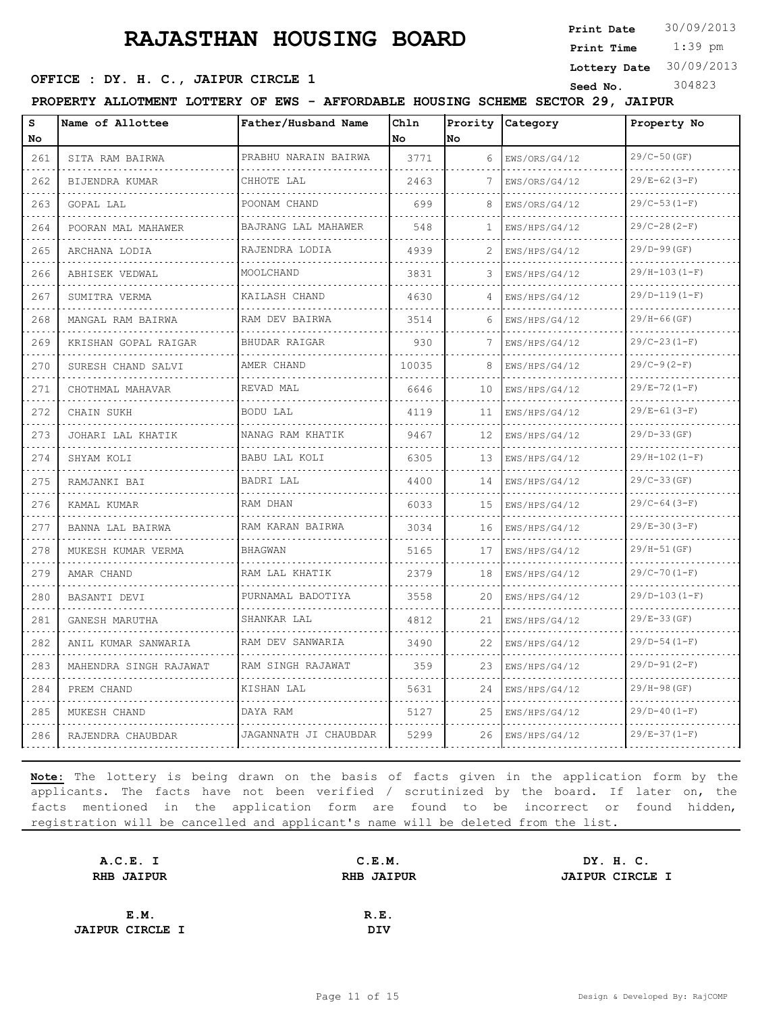**Print Date**  $30/09/2013$ 

 1:39 pm **Print Time**

#### **Lottery Date** 30/09/2013

#### **SEED OFFICE : DY. H. C., JAIPUR CIRCLE 1** Seed No. 304823

| PROPERTY ALLOTMENT LOTTERY OF |  | EWS | <b>AFFORDABLE</b> | HOUSING SCHEME | 29.<br><b>SECTOR</b> | <b>JAIPUR</b> |  |
|-------------------------------|--|-----|-------------------|----------------|----------------------|---------------|--|
|                               |  |     |                   |                |                      |               |  |

| s              | Name of Allottee       | Father/Husband Name   | Ch1n  |      | Prority Category   | Property No      |
|----------------|------------------------|-----------------------|-------|------|--------------------|------------------|
| No             |                        |                       | No.   | lno. |                    |                  |
| 261            | SITA RAM BAIRWA        | PRABHU NARAIN BAIRWA  | 3771  | 6    | EWS/ORS/G4/12      | $29/C-50$ (GF)   |
| 262            | BIJENDRA KUMAR         | CHHOTE LAL<br>.       | 2463  | 7    | EWS/ORS/G4/12      | $29/E-62(3-F)$   |
| 263            | GOPAL LAL              | POONAM CHAND          | 699   | 8    | EWS/ORS/G4/12      | $29/C-53(1-F)$   |
| 264            | POORAN MAL MAHAWER     | BAJRANG LAL MAHAWER   | 548   | 1    | EWS/HPS/G4/12      | $29/C-28(2-F)$   |
| 265            | ARCHANA LODIA          | RAJENDRA LODIA        | 4939  | 2    | EWS/HPS/G4/12<br>. | $29/D-99(GF)$    |
| 266<br>.       | ABHISEK VEDWAL         | MOOLCHAND             | 3831  | 3    | EWS/HPS/G4/12      | $29/H-103(I-F)$  |
| 267            | SUMITRA VERMA          | KAILASH CHAND         | 4630  | 4    | EWS/HPS/G4/12      | $29/D-119(1-F)$  |
| 268            | MANGAL RAM BAIRWA      | RAM DEV BAIRWA        | 3514  | 6    | EWS/HPS/G4/12      | $29/H-66$ (GF)   |
| 269            | KRISHAN GOPAL RAIGAR   | <b>BHUDAR RAIGAR</b>  | 930   | 7    | EWS/HPS/G4/12      | $29/C-23(1-F)$   |
| 270            | SURESH CHAND SALVI     | AMER CHAND            | 10035 | 8    | EWS/HPS/G4/12      | $29/C-9(2-F)$    |
| 271            | CHOTHMAL MAHAVAR       | REVAD MAL             | 6646  | 10   | EWS/HPS/G4/12      | $29/E - 72(1-F)$ |
| 272            | CHAIN SUKH             | BODU LAL              | 4119  | 11   | EWS/HPS/G4/12      | $29/E-61(3-F)$   |
| 273<br>- - - - | JOHARI LAL KHATIK      | NANAG RAM KHATIK      | 9467  | 12   | EWS/HPS/G4/12      | $29/D-33(GF)$    |
| 274            | SHYAM KOLI             | BABU LAL KOLI         | 6305  | 13   | EWS/HPS/G4/12      | $29/H-102(I-F)$  |
| 275            | RAMJANKI BAI           | BADRI LAL             | 4400  | 14   | EWS/HPS/G4/12      | $29/C-33(GF)$    |
| 276            | KAMAL KUMAR            | RAM DHAN              | 6033  | 15   | EWS/HPS/G4/12      | $29/C-64(3-F)$   |
| 277            | BANNA LAL BAIRWA       | RAM KARAN BAIRWA      | 3034  | 16   | EWS/HPS/G4/12      | $29/E-30(3-F)$   |
| 278            | MUKESH KUMAR VERMA     | <b>BHAGWAN</b>        | 5165  | 17   | EWS/HPS/G4/12      | $29/H-51(GF)$    |
| 279            | AMAR CHAND             | RAM LAL KHATIK        | 2379  | 18   | EWS/HPS/G4/12      | $29/C-70(1-F)$   |
| 280            | BASANTI DEVI           | PURNAMAL BADOTIYA     | 3558  | 20   | EWS/HPS/G4/12      | $29/D-103 (1-F)$ |
| 281            | GANESH MARUTHA         | SHANKAR LAL           | 4812  | 21   | EWS/HPS/G4/12      | $29/E-33(GF)$    |
| 282            | ANIL KUMAR SANWARIA    | RAM DEV SANWARIA      | 3490  | 22   | EWS/HPS/G4/12      | $29/D-54(1-F)$   |
| 283            | MAHENDRA SINGH RAJAWAT | RAM SINGH RAJAWAT     | 359   | 23   | EWS/HPS/G4/12      | $29/D-91(2-F)$   |
| 284            | PREM CHAND             | KISHAN LAL            | 5631  | 24   | EWS/HPS/G4/12      | $29/H-98(GF)$    |
| 285            | MUKESH CHAND           | DAYA RAM              | 5127  | 25   | EWS/HPS/G4/12      | $29/D-40 (1-F)$  |
| 286            | RAJENDRA CHAUBDAR      | JAGANNATH JI CHAUBDAR | 5299  | 26   | EWS/HPS/G4/12      | $29/E-37(1-F)$   |

| A.C.E. I               | C.E.M.            | DY. H. C.              |  |
|------------------------|-------------------|------------------------|--|
| <b>RHB JAIPUR</b>      | <b>RHB JAIPUR</b> | <b>JAIPUR CIRCLE I</b> |  |
|                        |                   |                        |  |
| E.M.                   | R.E.              |                        |  |
| <b>JAIPUR CIRCLE I</b> | <b>DIV</b>        |                        |  |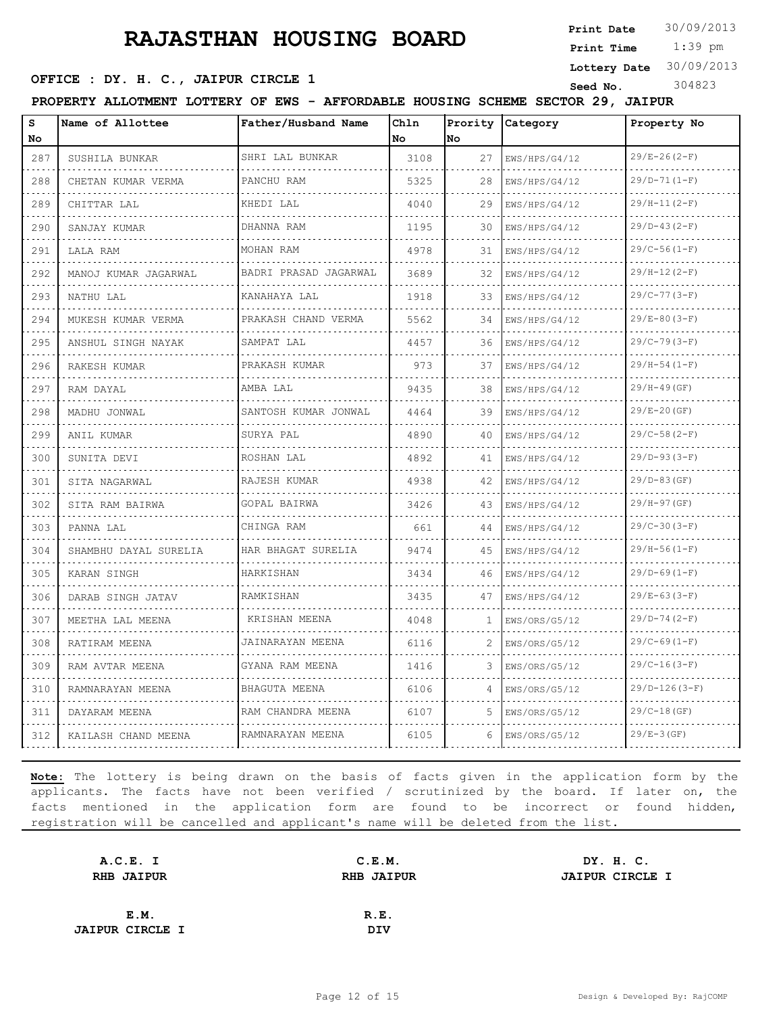**Print Date**  $30/09/2013$ 

 1:39 pm **Print Time Lottery Date** 30/09/2013

#### **SEED OFFICE : DY. H. C., JAIPUR CIRCLE 1** Seed No. 304823

**PROPERTY ALLOTMENT LOTTERY OF EWS - AFFORDABLE HOUSING SCHEME SECTOR 29, JAIPUR**

| s<br>No                   | Name of Allottee          | Father/Husband Name      | Chln<br>l No | No  | Prority Category   | Property No                       |
|---------------------------|---------------------------|--------------------------|--------------|-----|--------------------|-----------------------------------|
| 287                       | SUSHILA BUNKAR            | SHRI LAL BUNKAR          | 3108         | 27  | EWS/HPS/G4/12      | $29/E - 26(2-F)$                  |
| 288                       | CHETAN KUMAR VERMA        | PANCHU RAM               | 5325         | 28  | EWS/HPS/G4/12      | $29/D-71(1-F)$                    |
| 289                       | CHITTAR LAL               | KHEDI LAL                | 4040         | 29  | EWS/HPS/G4/12      | $29/H-11(2-F)$                    |
| 290                       | SANJAY KUMAR              | DHANNA RAM               | 1195         | 30  | EWS/HPS/G4/12      | $29/D-43(2-F)$                    |
| 291                       | LALA RAM                  | .<br>MOHAN RAM           | 4978         | 31  | .<br>EWS/HPS/G4/12 | $29/C-56(1-F)$                    |
| 292                       | MANOJ KUMAR JAGARWAL      | BADRI PRASAD JAGARWAL    | 3689         | 32  | EWS/HPS/G4/12      | $29/H-12(2-F)$                    |
| 293                       | .<br>NATHU LAL            | .<br>KANAHAYA LAL        | 1918         | 33  | EWS/HPS/G4/12      | $29/C-77(3-F)$                    |
| .<br>294                  | MUKESH KUMAR VERMA        | .<br>PRAKASH CHAND VERMA | 5562         | 34  | .<br>EWS/HPS/G4/12 | dia dia dia dia<br>$29/E-80(3-F)$ |
| 295                       | ANSHUL SINGH NAYAK        | SAMPAT LAL               | 4457         | 36  | EWS/HPS/G4/12      | $29/C-79(3-F)$                    |
| 296                       | RAKESH KUMAR              | PRAKASH KUMAR            | 973          | 37  | EWS/HPS/G4/12      | $29/H-54(1-F)$                    |
| .<br>297                  | RAM DAYAL                 | .<br>AMBA LAL            | 9435         | 38  | .<br>EWS/HPS/G4/12 | $29/H-49(GF)$                     |
| 298                       | MADHU JONWAL              | SANTOSH KUMAR JONWAL     | 4464         | 39  | EWS/HPS/G4/12      | $29/E - 20(GF)$                   |
| 299                       | ANIL KUMAR                | SURYA PAL                | 4890         | 40  | EWS/HPS/G4/12      | $29/C-58(2-F)$                    |
| .<br>300                  | SUNITA DEVI               | .<br>ROSHAN LAL          | 4892         | 41  | .<br>EWS/HPS/G4/12 | $29/D-93(3-F)$                    |
| 301                       | SITA NAGARWAL             | RAJESH KUMAR             | 4938         | 42  | EWS/HPS/G4/12      | $29/D-83(GF)$                     |
| 302                       | SITA RAM BAIRWA           | GOPAL BAIRWA             | 3426         | 43. | EWS/HPS/G4/12      | $29/H-97(GF)$                     |
| 303                       | PANNA LAL                 | .<br>CHINGA RAM          | 661          | 44  | EWS/HPS/G4/12      | $29/C-30(3-F)$                    |
| 304                       | SHAMBHU DAYAL SURELIA     | HAR BHAGAT SURELIA       | 9474         | 45  | EWS/HPS/G4/12      | $29/H-56(1-F)$                    |
| 305                       | KARAN SINGH<br>. <b>.</b> | HARKISHAN                | 3434         | 46. | EWS/HPS/G4/12<br>. | $29/D-69(1-F)$<br>.               |
| 306                       | DARAB SINGH JATAV         | RAMKISHAN                | 3435         | 47  | EWS/HPS/G4/12      | $29/E-63(3-F)$                    |
| 307                       | MEETHA LAL MEENA          | KRISHAN MEENA            | 4048         | 1   | EWS/ORS/G5/12      | $29/D-74(2-F)$                    |
| 308                       | RATIRAM MEENA             | JAINARAYAN MEENA         | 6116         | 2   | EWS/ORS/G5/12      | $29/C-69(1-F)$                    |
| الدائد الدائد<br>309      | RAM AVTAR MEENA           | GYANA RAM MEENA<br>.     | 1416         | 3   | EWS/ORS/G5/12      | .<br>$29/C-16(3-F)$               |
| 310                       | RAMNARAYAN MEENA          | BHAGUTA MEENA            | 6106         | 4   | EWS/ORS/G5/12      | $29/D-126(3-F)$                   |
| 311<br><b>State State</b> | DAYARAM MEENA             | RAM CHANDRA MEENA<br>.   | 6107         | 5   | EWS/ORS/G5/12      | $29/C-18(GF)$                     |
| 312                       | KAILASH CHAND MEENA       | RAMNARAYAN MEENA         | 6105         | 6   | EWS/ORS/G5/12      | $29/E-3(GF)$                      |

| A.C.E. I               | C.E.M.            | DY. H. C.              |
|------------------------|-------------------|------------------------|
| <b>RHB JAIPUR</b>      | <b>RHB JAIPUR</b> | <b>JAIPUR CIRCLE I</b> |
|                        |                   |                        |
| E.M.                   | R.E.              |                        |
| <b>JAIPUR CIRCLE I</b> | DIV               |                        |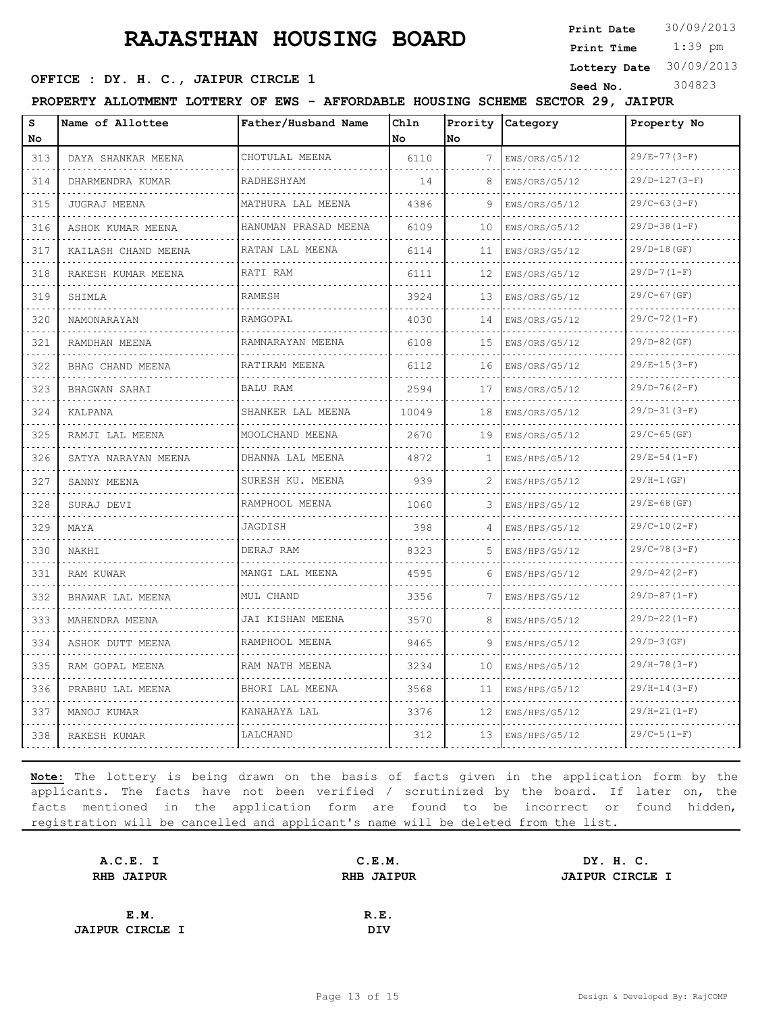**Print Date**  $30/09/2013$ 

 1:39 pm **Print Time**

**Lottery Date** 30/09/2013

#### **OFFICE : DY. H. C., JAIPUR CIRCLE 1** Seed No. 304823

| PROPERTY ALLOTMENT LOTTERY OF EWS - AFFORDABLE HOUSING SCHEME SECTOR 29, JAIPUR<br>S<br>Name of Allottee<br>Father/Husband Name<br>Chln<br>Prority Category<br>Property No |                          |                        |           |    |               |                     |
|----------------------------------------------------------------------------------------------------------------------------------------------------------------------------|--------------------------|------------------------|-----------|----|---------------|---------------------|
| No                                                                                                                                                                         |                          |                        | <b>No</b> | No |               |                     |
| 313                                                                                                                                                                        | DAYA SHANKAR MEENA       | CHOTULAL MEENA         | 6110      | 7  | EWS/ORS/G5/12 | $29/E - 77(3-F)$    |
| 314                                                                                                                                                                        | .<br>DHARMENDRA KUMAR    | RADHESHYAM             | 14        | 8  | EWS/ORS/G5/12 | $29/D-127(3-F)$     |
| 315                                                                                                                                                                        | JUGRAJ MEENA             | MATHURA LAL MEENA      | 4386      | 9  | EWS/ORS/G5/12 | $29/C-63(3-F)$      |
| 316                                                                                                                                                                        | ASHOK KUMAR MEENA        | HANUMAN PRASAD MEENA   | 6109      | 10 | EWS/ORS/G5/12 | $29/D-38 (1-F)$     |
| 317                                                                                                                                                                        | .<br>KAILASH CHAND MEENA | .<br>RATAN LAL MEENA   | 6114      | 11 | EWS/ORS/G5/12 | $29/D-18(GF)$       |
| $- - -$<br>318                                                                                                                                                             | RAKESH KUMAR MEENA       | RATI RAM               | 6111      | 12 | EWS/ORS/G5/12 | $29/D-7 (1-F)$      |
| 319                                                                                                                                                                        | SHIMLA                   | RAMESH                 | 3924      | 13 | EWS/ORS/G5/12 | $29/C-67$ (GF)      |
| 320<br>$\frac{1}{2} \left( \frac{1}{2} \right) \left( \frac{1}{2} \right) \left( \frac{1}{2} \right) \left( \frac{1}{2} \right)$                                           | NAMONARAYAN              | RAMGOPAL<br>.          | 4030      | 14 | EWS/ORS/G5/12 | $29/C-72(1-F)$      |
| 321                                                                                                                                                                        | RAMDHAN MEENA            | RAMNARAYAN MEENA<br>.  | 6108      | 15 | EWS/ORS/G5/12 | $29/D-82$ (GF)      |
| 322                                                                                                                                                                        | BHAG CHAND MEENA         | RATIRAM MEENA          | 6112      | 16 | EWS/ORS/G5/12 | $29/E-15(3-F)$      |
| 323<br>$\sim$ $\sim$ $\sim$                                                                                                                                                | BHAGWAN SAHAI            | <b>BALU RAM</b>        | 2594      | 17 | EWS/ORS/G5/12 | $29/D-76(2-F)$      |
| 324                                                                                                                                                                        | KALPANA                  | SHANKER LAL MEENA<br>. | 10049     | 18 | EWS/ORS/G5/12 | $29/D-31(3-F)$      |
| 325                                                                                                                                                                        | RAMJI LAL MEENA          | MOOLCHAND MEENA        | 2670      | 19 | EWS/ORS/G5/12 | $29/C-65$ (GF)      |
| 326                                                                                                                                                                        | SATYA NARAYAN MEENA      | DHANNA LAL MEENA<br>.  | 4872      | 1  | EWS/HPS/G5/12 | $29/E-54(1-F)$      |
| 327                                                                                                                                                                        | SANNY MEENA              | SURESH KU. MEENA       | 939       | 2  | EWS/HPS/G5/12 | $29/H-1(GF)$        |
| 328<br>$\sim$ $\sim$ $\sim$                                                                                                                                                | SURAJ DEVI               | RAMPHOOL MEENA         | 1060      | 3  | EWS/HPS/G5/12 | $29/E - 68(GF)$     |
| 329                                                                                                                                                                        | MAYA                     | JAGDISH                | 398       | 4  | EWS/HPS/G5/12 | $29/C-10(2-F)$      |
| 330                                                                                                                                                                        | NAKHI                    | DERAJ RAM              | 8323      | 5  | EWS/HPS/G5/12 | $29/C-78(3-F)$      |
| 331                                                                                                                                                                        | <b>RAM KUWAR</b>         | MANGI LAL MEENA        | 4595      | 6  | EWS/HPS/G5/12 | $29/D-42 (2-F)$     |
| 332                                                                                                                                                                        | BHAWAR LAL MEENA         | MUL CHAND              | 3356      | 7  | EWS/HPS/G5/12 | $29/D-87(1-F)$      |
| 333                                                                                                                                                                        | MAHENDRA MEENA           | JAI KISHAN MEENA       | 3570      | 8  | EWS/HPS/G5/12 | $29/D-22 (1-F)$     |
| 334                                                                                                                                                                        | ASHOK DUTT MEENA         | RAMPHOOL MEENA         | 9465      | q  | EWS/HPS/G5/12 | $29/D-3(GF)$        |
| 335                                                                                                                                                                        | RAM GOPAL MEENA          | RAM NATH MEENA         | 3234      | 10 | EWS/HPS/G5/12 | $29/H - 78(3-F)$    |
| 336<br>$\sim$ $\sim$ $\sim$ $\sim$                                                                                                                                         | PRABHU LAL MEENA         | BHORI LAL MEENA        | 3568      | 11 | EWS/HPS/G5/12 | $29/H-14(3-F)$      |
| 337                                                                                                                                                                        | MANOJ KUMAR              | KANAHAYA LAL           | 3376      | 12 | EWS/HPS/G5/12 | $29/H - 21 (1 - F)$ |
| 338                                                                                                                                                                        | RAKESH KUMAR             | LALCHAND               | 312       | 13 | EWS/HPS/G5/12 | $29/C-5(1-F)$       |

| A.C.E. I               | C.E.M.            | DY. H. C.              |
|------------------------|-------------------|------------------------|
| RHB JAIPUR             | <b>RHB JAIPUR</b> | <b>JAIPUR CIRCLE I</b> |
|                        |                   |                        |
| E.M.                   | R.E.              |                        |
| <b>JAIPUR CIRCLE I</b> | DIV               |                        |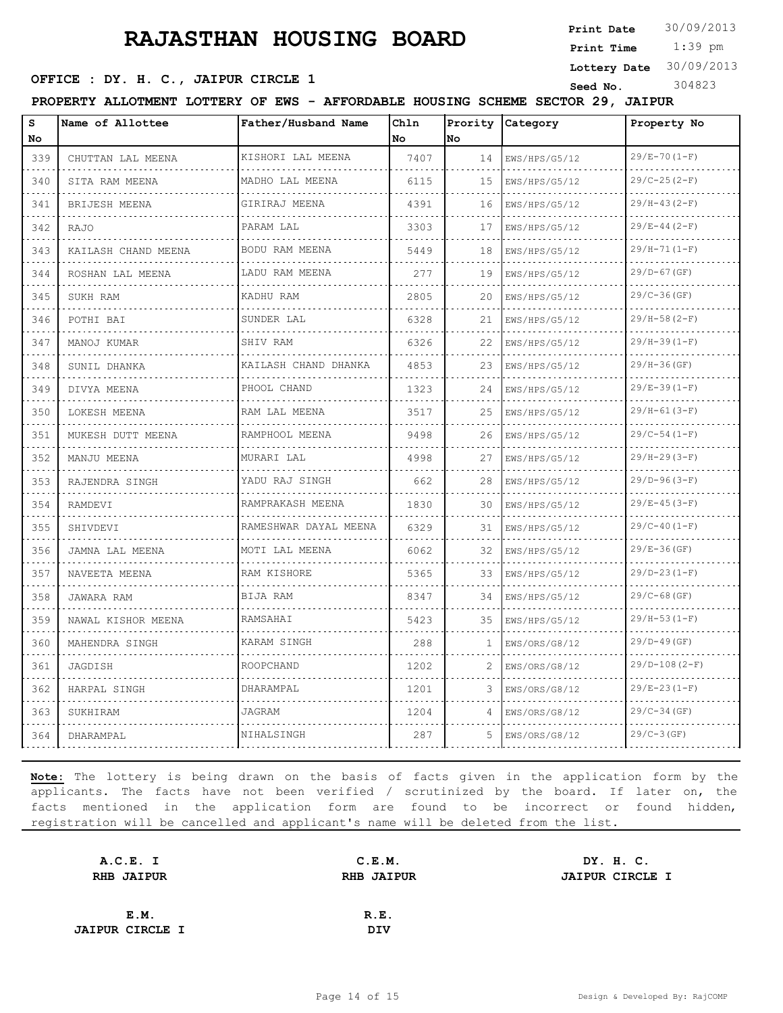**Print Date**  $30/09/2013$ 

 1:39 pm **Print Time**

#### **SEED OFFICE : DY. H. C., JAIPUR CIRCLE 1** Seed No. 304823

**Lottery Date** 30/09/2013

**PROPERTY ALLOTMENT LOTTERY OF EWS - AFFORDABLE HOUSING SCHEME SECTOR 29, JAIPUR**

| s<br>No                                                                                                                          | Name of Allottee               | Father/Husband Name        | Chln<br>No | Prority<br>No | Category           | Property No        |  |  |
|----------------------------------------------------------------------------------------------------------------------------------|--------------------------------|----------------------------|------------|---------------|--------------------|--------------------|--|--|
| 339                                                                                                                              | CHUTTAN LAL MEENA              | KISHORI LAL MEENA          | 7407       | 14            | EWS/HPS/G5/12      | $29/E - 70(1-F)$   |  |  |
| .<br>340                                                                                                                         | .<br>SITA RAM MEENA            | .<br>MADHO LAL MEENA       | 6115       | 15            | .<br>EWS/HPS/G5/12 | $29/C-25(2-F)$     |  |  |
| 341                                                                                                                              | .<br><b>BRIJESH MEENA</b>      | .<br>GIRIRAJ MEENA         | 4391       | 16            | .<br>EWS/HPS/G5/12 | $29/H-43(2-F)$     |  |  |
| 342                                                                                                                              | RAJO                           | PARAM LAL                  | 3303       | 17            | EWS/HPS/G5/12      | $29/E - 44(2-F)$   |  |  |
| $\sim$ $\sim$ $\sim$ $\sim$<br>343                                                                                               | KAILASH CHAND MEENA            | .<br>BODU RAM MEENA        | 5449       | 18            | .<br>EWS/HPS/G5/12 | $29/H-71(1-F)$     |  |  |
| 344                                                                                                                              | ROSHAN LAL MEENA               | LADU RAM MEENA             | 277        | 19            | EWS/HPS/G5/12      | $29/D-67$ (GF)     |  |  |
| 345                                                                                                                              | SUKH RAM                       | KADHU RAM                  | 2805       | 20            | EWS/HPS/G5/12      | $29/C-36(GF)$      |  |  |
| $\sim$ $\sim$ $\sim$ $\sim$<br>346                                                                                               | did did did did l<br>POTHI BAI | SUNDER LAL                 | 6328       | 21            | .<br>EWS/HPS/G5/12 | $29/H-58(2-F)$     |  |  |
| 347                                                                                                                              | MANOJ KUMAR                    | SHIV RAM                   | 6326       | 22            | EWS/HPS/G5/12      | $29/H-39(1-F)$     |  |  |
| 348                                                                                                                              | SUNIL DHANKA                   | KAILASH CHAND DHANKA       | 4853       | 23            | EWS/HPS/G5/12      | $29/H-36(GF)$      |  |  |
| $\sim$ $\sim$ $\sim$ $\sim$<br>349                                                                                               | DIVYA MEENA                    | .<br>PHOOL CHAND           | 1323       | 24            | .<br>EWS/HPS/G5/12 | $29/E-39(1-F)$     |  |  |
| 350                                                                                                                              | LOKESH MEENA                   | .<br>RAM LAL MEENA         | 3517       | 25            | EWS/HPS/G5/12      | $29/H-61(3-F)$     |  |  |
| 351                                                                                                                              | MUKESH DUTT MEENA              | RAMPHOOL MEENA             | 9498       | 26            | EWS/HPS/G5/12      | $29/C-54(1-F)$     |  |  |
| $\omega$ , $\omega$ , $\omega$<br>352                                                                                            | MANJU MEENA                    | <u>.</u><br>MURARI LAL     | 4998       | 27            | .<br>EWS/HPS/G5/12 | $29/H - 29(3-F)$   |  |  |
| 353                                                                                                                              | RAJENDRA SINGH                 | YADU RAJ SINGH             | 662        | 28            | EWS/HPS/G5/12      | $29/D-96(3-F)$     |  |  |
| 354                                                                                                                              | RAMDEVI                        | RAMPRAKASH MEENA           | 1830       | 30            | EWS/HPS/G5/12      | $29/E-45(3-F)$     |  |  |
| 355                                                                                                                              | SHIVDEVI                       | .<br>RAMESHWAR DAYAL MEENA | 6329       | 31            | .<br>EWS/HPS/G5/12 | $29/C-40(I-F)$     |  |  |
| 356                                                                                                                              | JAMNA LAL MEENA                | .<br>MOTI LAL MEENA        | 6062       | 32            | EWS/HPS/G5/12      | $29/E-36(GF)$      |  |  |
| 357                                                                                                                              | NAVEETA MEENA                  | RAM KISHORE                | 5365       | 33            | EWS/HPS/G5/12      | $29/D-23(1-F)$     |  |  |
| $\frac{1}{2} \left( \frac{1}{2} \right) \left( \frac{1}{2} \right) \left( \frac{1}{2} \right) \left( \frac{1}{2} \right)$<br>358 | JAWARA RAM                     | BIJA RAM                   | 8347       | 34            | EWS/HPS/G5/12      | $29/C-68$ (GF)     |  |  |
| 359                                                                                                                              | NAWAL KISHOR MEENA             | RAMSAHAI                   | 5423       | 35            | EWS/HPS/G5/12      | $29/H-53(I-F)$     |  |  |
| 360                                                                                                                              | MAHENDRA SINGH                 | KARAM SINGH                | 288        | $\mathbf{1}$  | EWS/ORS/G8/12      | $29/D-49(GF)$      |  |  |
| $\omega_{\rm c} = \omega_{\rm c} = \omega_{\rm c}$<br>361                                                                        | JAGDISH                        | .<br><b>ROOPCHAND</b>      | 1202       | 2             | .<br>EWS/ORS/G8/12 | $29/D-108 (2-F)$   |  |  |
| 362                                                                                                                              | HARPAL SINGH                   | DHARAMPAL                  | 1201       | 3             | EWS/ORS/G8/12      | $29/E - 23(1 - F)$ |  |  |
| 363                                                                                                                              | SUKHIRAM                       | <b>JAGRAM</b>              | 1204       | 4             | EWS/ORS/G8/12      | $29/C-34(GF)$      |  |  |
| $-1 - 1 - 1$<br>364                                                                                                              | DHARAMPAL                      | NIHALSINGH                 | 287        | 5             | EWS/ORS/G8/12      | $29/C-3(GF)$       |  |  |

| A.C.E. I               | C.E.M.            | DY. H. C.              |
|------------------------|-------------------|------------------------|
| <b>RHB JAIPUR</b>      | <b>RHB JAIPUR</b> | <b>JAIPUR CIRCLE I</b> |
|                        |                   |                        |
| E.M.                   | R.E.              |                        |
| <b>JAIPUR CIRCLE I</b> | DIV               |                        |